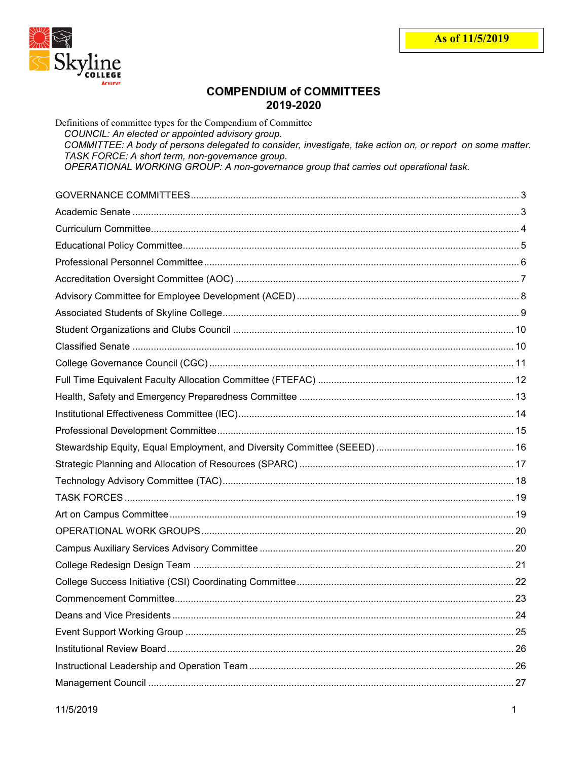

# **COMPENDIUM of COMMITTEES** 2019-2020

| Definitions of committee types for the Compendium of Committee<br>COUNCIL: An elected or appointed advisory group.<br>COMMITTEE: A body of persons delegated to consider, investigate, take action on, or report on some matter.<br>TASK FORCE: A short term, non-governance group.<br>OPERATIONAL WORKING GROUP: A non-governance group that carries out operational task. |  |
|-----------------------------------------------------------------------------------------------------------------------------------------------------------------------------------------------------------------------------------------------------------------------------------------------------------------------------------------------------------------------------|--|
|                                                                                                                                                                                                                                                                                                                                                                             |  |
|                                                                                                                                                                                                                                                                                                                                                                             |  |
|                                                                                                                                                                                                                                                                                                                                                                             |  |
|                                                                                                                                                                                                                                                                                                                                                                             |  |
|                                                                                                                                                                                                                                                                                                                                                                             |  |
|                                                                                                                                                                                                                                                                                                                                                                             |  |
|                                                                                                                                                                                                                                                                                                                                                                             |  |
|                                                                                                                                                                                                                                                                                                                                                                             |  |
|                                                                                                                                                                                                                                                                                                                                                                             |  |
|                                                                                                                                                                                                                                                                                                                                                                             |  |
|                                                                                                                                                                                                                                                                                                                                                                             |  |
|                                                                                                                                                                                                                                                                                                                                                                             |  |
|                                                                                                                                                                                                                                                                                                                                                                             |  |
|                                                                                                                                                                                                                                                                                                                                                                             |  |
|                                                                                                                                                                                                                                                                                                                                                                             |  |
|                                                                                                                                                                                                                                                                                                                                                                             |  |
|                                                                                                                                                                                                                                                                                                                                                                             |  |
|                                                                                                                                                                                                                                                                                                                                                                             |  |
|                                                                                                                                                                                                                                                                                                                                                                             |  |
|                                                                                                                                                                                                                                                                                                                                                                             |  |
|                                                                                                                                                                                                                                                                                                                                                                             |  |
|                                                                                                                                                                                                                                                                                                                                                                             |  |
|                                                                                                                                                                                                                                                                                                                                                                             |  |
|                                                                                                                                                                                                                                                                                                                                                                             |  |
|                                                                                                                                                                                                                                                                                                                                                                             |  |
|                                                                                                                                                                                                                                                                                                                                                                             |  |
|                                                                                                                                                                                                                                                                                                                                                                             |  |
|                                                                                                                                                                                                                                                                                                                                                                             |  |
|                                                                                                                                                                                                                                                                                                                                                                             |  |
|                                                                                                                                                                                                                                                                                                                                                                             |  |
|                                                                                                                                                                                                                                                                                                                                                                             |  |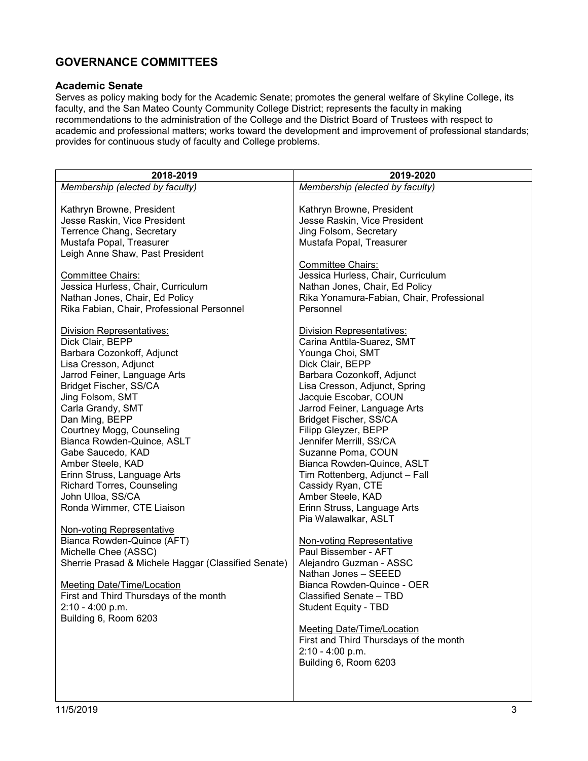# <span id="page-2-0"></span>**GOVERNANCE COMMITTEES**

#### <span id="page-2-1"></span>**Academic Senate**

Serves as policy making body for the Academic Senate; promotes the general welfare of Skyline College, its faculty, and the San Mateo County Community College District; represents the faculty in making recommendations to the administration of the College and the District Board of Trustees with respect to academic and professional matters; works toward the development and improvement of professional standards; provides for continuous study of faculty and College problems.

| 2018-2019                                           | 2019-2020                                 |
|-----------------------------------------------------|-------------------------------------------|
| Membership (elected by faculty)                     | Membership (elected by faculty)           |
|                                                     |                                           |
| Kathryn Browne, President                           | Kathryn Browne, President                 |
| Jesse Raskin, Vice President                        | Jesse Raskin, Vice President              |
| Terrence Chang, Secretary                           | Jing Folsom, Secretary                    |
| Mustafa Popal, Treasurer                            | Mustafa Popal, Treasurer                  |
|                                                     |                                           |
| Leigh Anne Shaw, Past President                     |                                           |
|                                                     | <b>Committee Chairs:</b>                  |
| Committee Chairs:                                   | Jessica Hurless, Chair, Curriculum        |
| Jessica Hurless, Chair, Curriculum                  | Nathan Jones, Chair, Ed Policy            |
| Nathan Jones, Chair, Ed Policy                      | Rika Yonamura-Fabian, Chair, Professional |
| Rika Fabian, Chair, Professional Personnel          | Personnel                                 |
| <b>Division Representatives:</b>                    | <b>Division Representatives:</b>          |
| Dick Clair, BEPP                                    | Carina Anttila-Suarez, SMT                |
| Barbara Cozonkoff, Adjunct                          | Younga Choi, SMT                          |
| Lisa Cresson, Adjunct                               | Dick Clair, BEPP                          |
| Jarrod Feiner, Language Arts                        | Barbara Cozonkoff, Adjunct                |
|                                                     | Lisa Cresson, Adjunct, Spring             |
| Bridget Fischer, SS/CA                              |                                           |
| Jing Folsom, SMT                                    | Jacquie Escobar, COUN                     |
| Carla Grandy, SMT                                   | Jarrod Feiner, Language Arts              |
| Dan Ming, BEPP                                      | Bridget Fischer, SS/CA                    |
| Courtney Mogg, Counseling                           | Filipp Gleyzer, BEPP                      |
| Bianca Rowden-Quince, ASLT                          | Jennifer Merrill, SS/CA                   |
| Gabe Saucedo, KAD                                   | Suzanne Poma, COUN                        |
| Amber Steele, KAD                                   | Bianca Rowden-Quince, ASLT                |
| Erinn Struss, Language Arts                         | Tim Rottenberg, Adjunct - Fall            |
| <b>Richard Torres, Counseling</b>                   | Cassidy Ryan, CTE                         |
| John Ulloa, SS/CA                                   | Amber Steele, KAD                         |
| Ronda Wimmer, CTE Liaison                           | Erinn Struss, Language Arts               |
|                                                     | Pia Walawalkar, ASLT                      |
| <b>Non-voting Representative</b>                    |                                           |
| Bianca Rowden-Quince (AFT)                          | <b>Non-voting Representative</b>          |
| Michelle Chee (ASSC)                                | Paul Bissember - AFT                      |
| Sherrie Prasad & Michele Haggar (Classified Senate) | Alejandro Guzman - ASSC                   |
|                                                     | Nathan Jones - SEEED                      |
| Meeting Date/Time/Location                          | Bianca Rowden-Quince - OER                |
| First and Third Thursdays of the month              | Classified Senate - TBD                   |
| $2:10 - 4:00$ p.m.                                  | <b>Student Equity - TBD</b>               |
| Building 6, Room 6203                               |                                           |
|                                                     | <b>Meeting Date/Time/Location</b>         |
|                                                     | First and Third Thursdays of the month    |
|                                                     | $2:10 - 4:00 p.m.$                        |
|                                                     |                                           |
|                                                     | Building 6, Room 6203                     |
|                                                     |                                           |
|                                                     |                                           |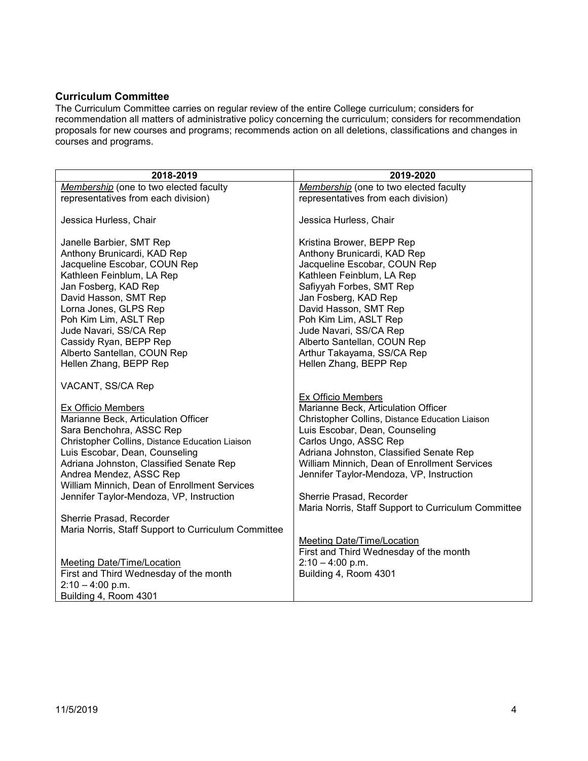### <span id="page-3-0"></span>**Curriculum Committee**

The Curriculum Committee carries on regular review of the entire College curriculum; considers for recommendation all matters of administrative policy concerning the curriculum; considers for recommendation proposals for new courses and programs; recommends action on all deletions, classifications and changes in courses and programs.

| 2018-2019                                                                                                                                                                                                                                                                                                                                    | 2019-2020                                                                                                                                                                                                                                                                                                                                  |
|----------------------------------------------------------------------------------------------------------------------------------------------------------------------------------------------------------------------------------------------------------------------------------------------------------------------------------------------|--------------------------------------------------------------------------------------------------------------------------------------------------------------------------------------------------------------------------------------------------------------------------------------------------------------------------------------------|
| Membership (one to two elected faculty                                                                                                                                                                                                                                                                                                       | Membership (one to two elected faculty                                                                                                                                                                                                                                                                                                     |
| representatives from each division)                                                                                                                                                                                                                                                                                                          | representatives from each division)                                                                                                                                                                                                                                                                                                        |
| Jessica Hurless, Chair                                                                                                                                                                                                                                                                                                                       | Jessica Hurless, Chair                                                                                                                                                                                                                                                                                                                     |
| Janelle Barbier, SMT Rep<br>Anthony Brunicardi, KAD Rep<br>Jacqueline Escobar, COUN Rep<br>Kathleen Feinblum, LA Rep<br>Jan Fosberg, KAD Rep<br>David Hasson, SMT Rep<br>Lorna Jones, GLPS Rep                                                                                                                                               | Kristina Brower, BEPP Rep<br>Anthony Brunicardi, KAD Rep<br>Jacqueline Escobar, COUN Rep<br>Kathleen Feinblum, LA Rep<br>Safiyyah Forbes, SMT Rep<br>Jan Fosberg, KAD Rep<br>David Hasson, SMT Rep                                                                                                                                         |
| Poh Kim Lim, ASLT Rep<br>Jude Navari, SS/CA Rep<br>Cassidy Ryan, BEPP Rep<br>Alberto Santellan, COUN Rep<br>Hellen Zhang, BEPP Rep                                                                                                                                                                                                           | Poh Kim Lim, ASLT Rep<br>Jude Navari, SS/CA Rep<br>Alberto Santellan, COUN Rep<br>Arthur Takayama, SS/CA Rep<br>Hellen Zhang, BEPP Rep                                                                                                                                                                                                     |
| VACANT, SS/CA Rep                                                                                                                                                                                                                                                                                                                            |                                                                                                                                                                                                                                                                                                                                            |
| Ex Officio Members<br>Marianne Beck, Articulation Officer<br>Sara Benchohra, ASSC Rep<br>Christopher Collins, Distance Education Liaison<br>Luis Escobar, Dean, Counseling<br>Adriana Johnston, Classified Senate Rep<br>Andrea Mendez, ASSC Rep<br>William Minnich, Dean of Enrollment Services<br>Jennifer Taylor-Mendoza, VP, Instruction | Ex Officio Members<br>Marianne Beck, Articulation Officer<br>Christopher Collins, Distance Education Liaison<br>Luis Escobar, Dean, Counseling<br>Carlos Ungo, ASSC Rep<br>Adriana Johnston, Classified Senate Rep<br>William Minnich, Dean of Enrollment Services<br>Jennifer Taylor-Mendoza, VP, Instruction<br>Sherrie Prasad, Recorder |
| Sherrie Prasad, Recorder<br>Maria Norris, Staff Support to Curriculum Committee                                                                                                                                                                                                                                                              | Maria Norris, Staff Support to Curriculum Committee                                                                                                                                                                                                                                                                                        |
|                                                                                                                                                                                                                                                                                                                                              | <b>Meeting Date/Time/Location</b><br>First and Third Wednesday of the month                                                                                                                                                                                                                                                                |
| <b>Meeting Date/Time/Location</b>                                                                                                                                                                                                                                                                                                            | $2:10 - 4:00$ p.m.                                                                                                                                                                                                                                                                                                                         |
| First and Third Wednesday of the month                                                                                                                                                                                                                                                                                                       | Building 4, Room 4301                                                                                                                                                                                                                                                                                                                      |
| $2:10 - 4:00$ p.m.<br>Building 4, Room 4301                                                                                                                                                                                                                                                                                                  |                                                                                                                                                                                                                                                                                                                                            |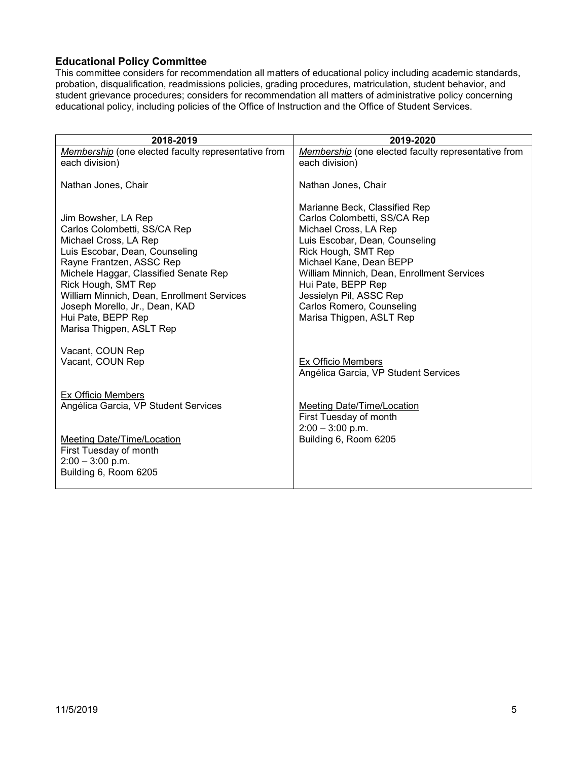### <span id="page-4-0"></span>**Educational Policy Committee**

This committee considers for recommendation all matters of educational policy including academic standards, probation, disqualification, readmissions policies, grading procedures, matriculation, student behavior, and student grievance procedures; considers for recommendation all matters of administrative policy concerning educational policy, including policies of the Office of Instruction and the Office of Student Services.

| 2018-2019                                                                                                                                                                                                                                                                                                                                    | 2019-2020                                                                                                                                                                                                                                                                                                                          |
|----------------------------------------------------------------------------------------------------------------------------------------------------------------------------------------------------------------------------------------------------------------------------------------------------------------------------------------------|------------------------------------------------------------------------------------------------------------------------------------------------------------------------------------------------------------------------------------------------------------------------------------------------------------------------------------|
| Membership (one elected faculty representative from<br>each division)                                                                                                                                                                                                                                                                        | Membership (one elected faculty representative from<br>each division)                                                                                                                                                                                                                                                              |
| Nathan Jones, Chair                                                                                                                                                                                                                                                                                                                          | Nathan Jones, Chair                                                                                                                                                                                                                                                                                                                |
| Jim Bowsher, LA Rep<br>Carlos Colombetti, SS/CA Rep<br>Michael Cross, LA Rep<br>Luis Escobar, Dean, Counseling<br>Rayne Frantzen, ASSC Rep<br>Michele Haggar, Classified Senate Rep<br>Rick Hough, SMT Rep<br>William Minnich, Dean, Enrollment Services<br>Joseph Morello, Jr., Dean, KAD<br>Hui Pate, BEPP Rep<br>Marisa Thigpen, ASLT Rep | Marianne Beck, Classified Rep<br>Carlos Colombetti, SS/CA Rep<br>Michael Cross, LA Rep<br>Luis Escobar, Dean, Counseling<br>Rick Hough, SMT Rep<br>Michael Kane, Dean BEPP<br>William Minnich, Dean, Enrollment Services<br>Hui Pate, BEPP Rep<br>Jessielyn Pil, ASSC Rep<br>Carlos Romero, Counseling<br>Marisa Thigpen, ASLT Rep |
| Vacant, COUN Rep<br>Vacant, COUN Rep                                                                                                                                                                                                                                                                                                         | Ex Officio Members<br>Angélica Garcia, VP Student Services                                                                                                                                                                                                                                                                         |
| Ex Officio Members<br>Angélica Garcia, VP Student Services                                                                                                                                                                                                                                                                                   | Meeting Date/Time/Location<br>First Tuesday of month<br>$2:00 - 3:00$ p.m.                                                                                                                                                                                                                                                         |
| <b>Meeting Date/Time/Location</b><br>First Tuesday of month<br>$2:00 - 3:00$ p.m.<br>Building 6, Room 6205                                                                                                                                                                                                                                   | Building 6, Room 6205                                                                                                                                                                                                                                                                                                              |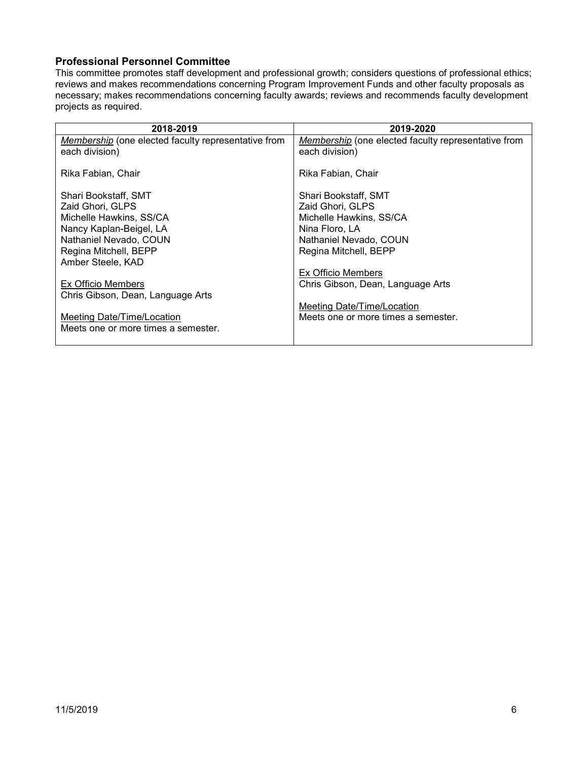#### <span id="page-5-0"></span>**Professional Personnel Committee**

This committee promotes staff development and professional growth; considers questions of professional ethics; reviews and makes recommendations concerning Program Improvement Funds and other faculty proposals as necessary; makes recommendations concerning faculty awards; reviews and recommends faculty development projects as required.

| 2018-2019                                                             | 2019-2020                                                             |
|-----------------------------------------------------------------------|-----------------------------------------------------------------------|
| Membership (one elected faculty representative from<br>each division) | Membership (one elected faculty representative from<br>each division) |
|                                                                       |                                                                       |
| Rika Fabian, Chair                                                    | Rika Fabian, Chair                                                    |
| Shari Bookstaff, SMT                                                  | Shari Bookstaff, SMT                                                  |
| Zaid Ghori, GLPS                                                      | Zaid Ghori, GLPS                                                      |
| Michelle Hawkins, SS/CA                                               | Michelle Hawkins, SS/CA                                               |
| Nancy Kaplan-Beigel, LA                                               | Nina Floro, LA                                                        |
| Nathaniel Nevado, COUN                                                | Nathaniel Nevado, COUN                                                |
| Regina Mitchell, BEPP                                                 | Regina Mitchell, BEPP                                                 |
| Amber Steele, KAD                                                     |                                                                       |
|                                                                       | Ex Officio Members                                                    |
| Ex Officio Members                                                    | Chris Gibson, Dean, Language Arts                                     |
| Chris Gibson, Dean, Language Arts                                     |                                                                       |
|                                                                       | Meeting Date/Time/Location                                            |
| <b>Meeting Date/Time/Location</b>                                     | Meets one or more times a semester.                                   |
| Meets one or more times a semester.                                   |                                                                       |
|                                                                       |                                                                       |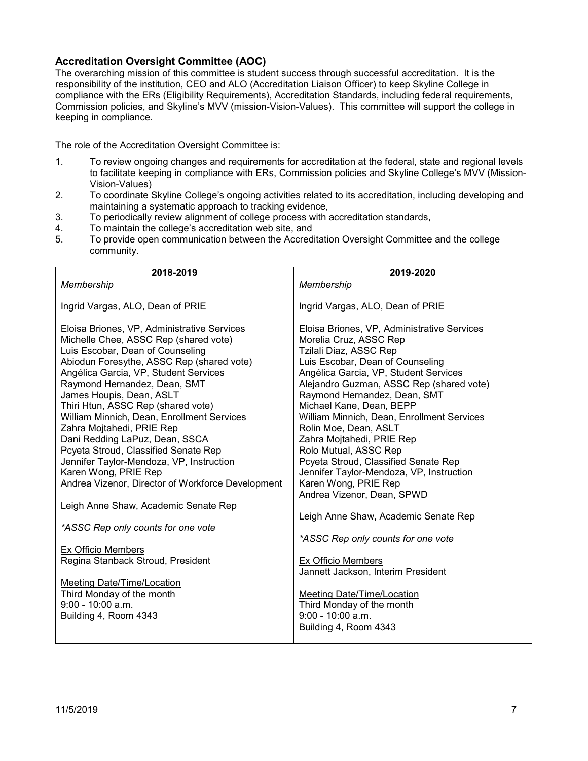#### <span id="page-6-0"></span>**Accreditation Oversight Committee (AOC)**

The overarching mission of this committee is student success through successful accreditation. It is the responsibility of the institution, CEO and ALO (Accreditation Liaison Officer) to keep Skyline College in compliance with the ERs (Eligibility Requirements), Accreditation Standards, including federal requirements, Commission policies, and Skyline's MVV (mission-Vision-Values). This committee will support the college in keeping in compliance.

The role of the Accreditation Oversight Committee is:

- 1. To review ongoing changes and requirements for accreditation at the federal, state and regional levels to facilitate keeping in compliance with ERs, Commission policies and Skyline College's MVV (Mission-Vision-Values)
- 2. To coordinate Skyline College's ongoing activities related to its accreditation, including developing and maintaining a systematic approach to tracking evidence,
- 3. To periodically review alignment of college process with accreditation standards,<br>4. To maintain the college's accreditation web site, and
- To maintain the college's accreditation web site, and
- 5. To provide open communication between the Accreditation Oversight Committee and the college community.

| 2018-2019                                                        | 2019-2020                                                     |
|------------------------------------------------------------------|---------------------------------------------------------------|
| Membership                                                       | Membership                                                    |
|                                                                  |                                                               |
| Ingrid Vargas, ALO, Dean of PRIE                                 | Ingrid Vargas, ALO, Dean of PRIE                              |
|                                                                  |                                                               |
| Eloisa Briones, VP, Administrative Services                      | Eloisa Briones, VP, Administrative Services                   |
| Michelle Chee, ASSC Rep (shared vote)                            | Morelia Cruz, ASSC Rep                                        |
| Luis Escobar, Dean of Counseling                                 | Tzilali Diaz, ASSC Rep                                        |
| Abiodun Foresythe, ASSC Rep (shared vote)                        | Luis Escobar, Dean of Counseling                              |
| Angélica Garcia, VP, Student Services                            | Angélica Garcia, VP, Student Services                         |
| Raymond Hernandez, Dean, SMT                                     | Alejandro Guzman, ASSC Rep (shared vote)                      |
| James Houpis, Dean, ASLT                                         | Raymond Hernandez, Dean, SMT                                  |
| Thiri Htun, ASSC Rep (shared vote)                               | Michael Kane, Dean, BEPP                                      |
| William Minnich, Dean, Enrollment Services                       | William Minnich, Dean, Enrollment Services                    |
| Zahra Mojtahedi, PRIE Rep                                        | Rolin Moe, Dean, ASLT                                         |
| Dani Redding LaPuz, Dean, SSCA                                   | Zahra Mojtahedi, PRIE Rep                                     |
| Pcyeta Stroud, Classified Senate Rep                             | Rolo Mutual, ASSC Rep<br>Pcyeta Stroud, Classified Senate Rep |
| Jennifer Taylor-Mendoza, VP, Instruction<br>Karen Wong, PRIE Rep | Jennifer Taylor-Mendoza, VP, Instruction                      |
| Andrea Vizenor, Director of Workforce Development                | Karen Wong, PRIE Rep                                          |
|                                                                  | Andrea Vizenor, Dean, SPWD                                    |
| Leigh Anne Shaw, Academic Senate Rep                             |                                                               |
|                                                                  | Leigh Anne Shaw, Academic Senate Rep                          |
| *ASSC Rep only counts for one vote                               |                                                               |
|                                                                  | *ASSC Rep only counts for one vote                            |
| Ex Officio Members                                               |                                                               |
| Regina Stanback Stroud, President                                | Ex Officio Members                                            |
|                                                                  | Jannett Jackson, Interim President                            |
| Meeting Date/Time/Location                                       |                                                               |
| Third Monday of the month                                        | <b>Meeting Date/Time/Location</b>                             |
| $9:00 - 10:00$ a.m.                                              | Third Monday of the month                                     |
| Building 4, Room 4343                                            | $9:00 - 10:00$ a.m.                                           |
|                                                                  | Building 4, Room 4343                                         |
|                                                                  |                                                               |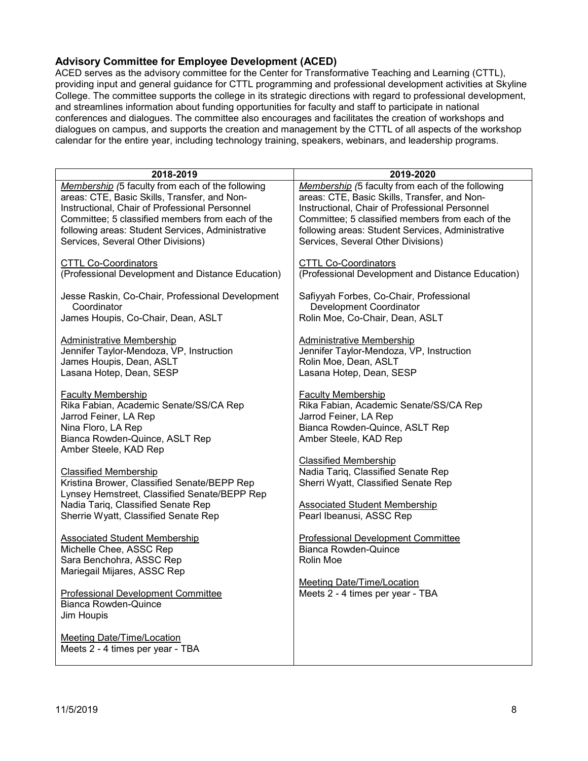### <span id="page-7-0"></span>**Advisory Committee for Employee Development (ACED)**

ACED serves as the advisory committee for the Center for Transformative Teaching and Learning (CTTL), providing input and general guidance for CTTL programming and professional development activities at Skyline College. The committee supports the college in its strategic directions with regard to professional development, and streamlines information about funding opportunities for faculty and staff to participate in national conferences and dialogues. The committee also encourages and facilitates the creation of workshops and dialogues on campus, and supports the creation and management by the CTTL of all aspects of the workshop calendar for the entire year, including technology training, speakers, webinars, and leadership programs.

| 2018-2019                                                                                                                                                                     | 2019-2020                                                                                                                                               |
|-------------------------------------------------------------------------------------------------------------------------------------------------------------------------------|---------------------------------------------------------------------------------------------------------------------------------------------------------|
| Membership (5 faculty from each of the following                                                                                                                              | Membership (5 faculty from each of the following                                                                                                        |
| areas: CTE, Basic Skills, Transfer, and Non-                                                                                                                                  | areas: CTE, Basic Skills, Transfer, and Non-                                                                                                            |
| Instructional, Chair of Professional Personnel                                                                                                                                | Instructional, Chair of Professional Personnel                                                                                                          |
| Committee; 5 classified members from each of the                                                                                                                              | Committee; 5 classified members from each of the                                                                                                        |
| following areas: Student Services, Administrative                                                                                                                             | following areas: Student Services, Administrative                                                                                                       |
| Services, Several Other Divisions)                                                                                                                                            | Services, Several Other Divisions)                                                                                                                      |
| <b>CTTL Co-Coordinators</b>                                                                                                                                                   | <b>CTTL Co-Coordinators</b>                                                                                                                             |
| (Professional Development and Distance Education)                                                                                                                             | (Professional Development and Distance Education)                                                                                                       |
| Jesse Raskin, Co-Chair, Professional Development                                                                                                                              | Safiyyah Forbes, Co-Chair, Professional                                                                                                                 |
| Coordinator                                                                                                                                                                   | Development Coordinator                                                                                                                                 |
| James Houpis, Co-Chair, Dean, ASLT                                                                                                                                            | Rolin Moe, Co-Chair, Dean, ASLT                                                                                                                         |
| Administrative Membership                                                                                                                                                     | Administrative Membership                                                                                                                               |
| Jennifer Taylor-Mendoza, VP, Instruction                                                                                                                                      | Jennifer Taylor-Mendoza, VP, Instruction                                                                                                                |
| James Houpis, Dean, ASLT                                                                                                                                                      | Rolin Moe, Dean, ASLT                                                                                                                                   |
| Lasana Hotep, Dean, SESP                                                                                                                                                      | Lasana Hotep, Dean, SESP                                                                                                                                |
| <b>Faculty Membership</b><br>Rika Fabian, Academic Senate/SS/CA Rep<br>Jarrod Feiner, LA Rep<br>Nina Floro, LA Rep<br>Bianca Rowden-Quince, ASLT Rep<br>Amber Steele, KAD Rep | <b>Faculty Membership</b><br>Rika Fabian, Academic Senate/SS/CA Rep<br>Jarrod Feiner, LA Rep<br>Bianca Rowden-Quince, ASLT Rep<br>Amber Steele, KAD Rep |
| <b>Classified Membership</b>                                                                                                                                                  | <b>Classified Membership</b>                                                                                                                            |
| Kristina Brower, Classified Senate/BEPP Rep                                                                                                                                   | Nadia Tariq, Classified Senate Rep                                                                                                                      |
| Lynsey Hemstreet, Classified Senate/BEPP Rep                                                                                                                                  | Sherri Wyatt, Classified Senate Rep                                                                                                                     |
| Nadia Tariq, Classified Senate Rep                                                                                                                                            | <b>Associated Student Membership</b>                                                                                                                    |
| Sherrie Wyatt, Classified Senate Rep                                                                                                                                          | Pearl Ibeanusi, ASSC Rep                                                                                                                                |
| <b>Associated Student Membership</b><br>Michelle Chee, ASSC Rep<br>Sara Benchohra, ASSC Rep<br>Mariegail Mijares, ASSC Rep                                                    | Professional Development Committee<br><b>Bianca Rowden-Quince</b><br>Rolin Moe                                                                          |
| <b>Professional Development Committee</b><br><b>Bianca Rowden-Quince</b><br>Jim Houpis                                                                                        | Meeting Date/Time/Location<br>Meets 2 - 4 times per year - TBA                                                                                          |
| <b>Meeting Date/Time/Location</b><br>Meets 2 - 4 times per year - TBA                                                                                                         |                                                                                                                                                         |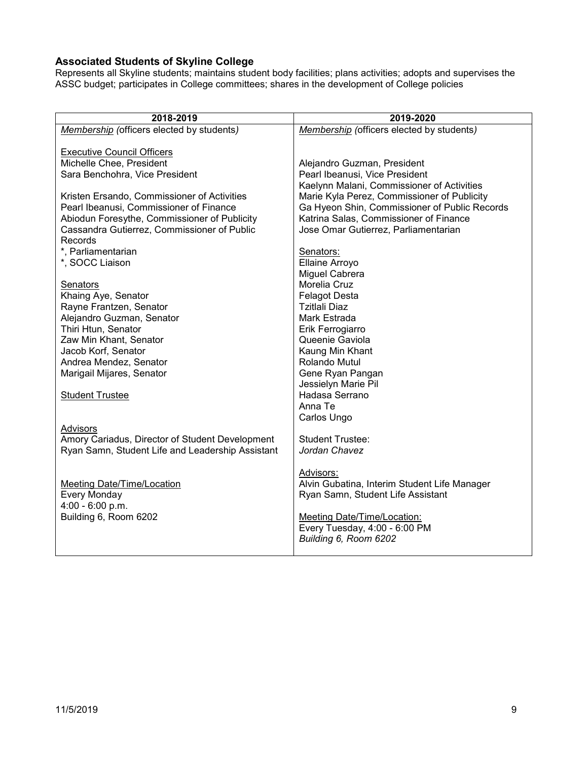### <span id="page-8-0"></span>**Associated Students of Skyline College**

Represents all Skyline students; maintains student body facilities; plans activities; adopts and supervises the ASSC budget; participates in College committees; shares in the development of College policies

| 2018-2019                                            | 2019-2020                                     |
|------------------------------------------------------|-----------------------------------------------|
| Membership (officers elected by students)            | Membership (officers elected by students)     |
|                                                      |                                               |
| <b>Executive Council Officers</b>                    |                                               |
| Michelle Chee, President                             | Alejandro Guzman, President                   |
| Sara Benchohra, Vice President                       | Pearl Ibeanusi, Vice President                |
|                                                      | Kaelynn Malani, Commissioner of Activities    |
| Kristen Ersando, Commissioner of Activities          | Marie Kyla Perez, Commissioner of Publicity   |
| Pearl Ibeanusi, Commissioner of Finance              | Ga Hyeon Shin, Commissioner of Public Records |
| Abiodun Foresythe, Commissioner of Publicity         | Katrina Salas, Commissioner of Finance        |
| Cassandra Gutierrez, Commissioner of Public          | Jose Omar Gutierrez, Parliamentarian          |
| Records                                              |                                               |
| *, Parliamentarian                                   | Senators:                                     |
| *, SOCC Liaison                                      | Ellaine Arroyo                                |
|                                                      | Miguel Cabrera                                |
| Senators                                             | Morelia Cruz                                  |
| Khaing Aye, Senator                                  | <b>Felagot Desta</b><br><b>Tzitlali Diaz</b>  |
| Rayne Frantzen, Senator<br>Alejandro Guzman, Senator | Mark Estrada                                  |
| Thiri Htun, Senator                                  | Erik Ferrogiarro                              |
| Zaw Min Khant, Senator                               | Queenie Gaviola                               |
| Jacob Korf, Senator                                  | Kaung Min Khant                               |
| Andrea Mendez, Senator                               | Rolando Mutul                                 |
| Marigail Mijares, Senator                            | Gene Ryan Pangan                              |
|                                                      | Jessielyn Marie Pil                           |
| <b>Student Trustee</b>                               | Hadasa Serrano                                |
|                                                      | Anna Te                                       |
|                                                      | Carlos Ungo                                   |
| Advisors                                             |                                               |
| Amory Cariadus, Director of Student Development      | <b>Student Trustee:</b>                       |
| Ryan Samn, Student Life and Leadership Assistant     | Jordan Chavez                                 |
|                                                      |                                               |
|                                                      | Advisors:                                     |
| Meeting Date/Time/Location                           | Alvin Gubatina, Interim Student Life Manager  |
| Every Monday                                         | Ryan Samn, Student Life Assistant             |
| 4:00 - 6:00 p.m.                                     |                                               |
| Building 6, Room 6202                                | <b>Meeting Date/Time/Location:</b>            |
|                                                      | Every Tuesday, 4:00 - 6:00 PM                 |
|                                                      | Building 6, Room 6202                         |
|                                                      |                                               |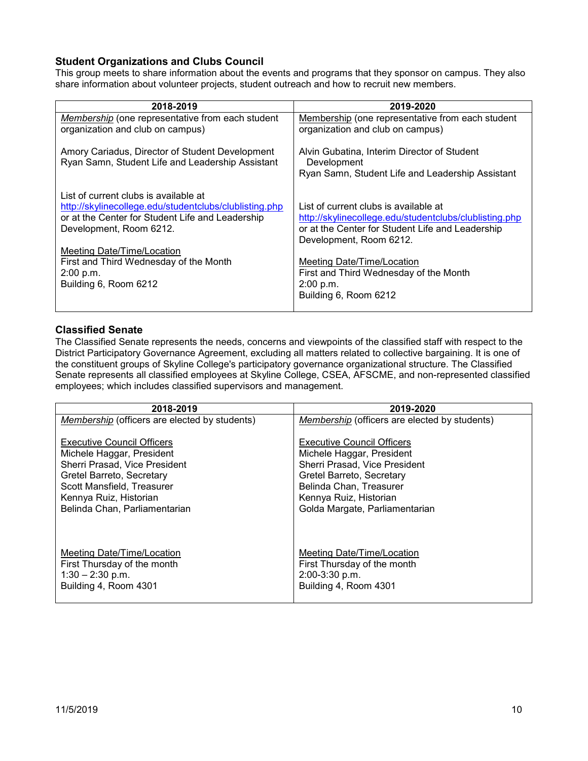### <span id="page-9-0"></span>**Student Organizations and Clubs Council**

This group meets to share information about the events and programs that they sponsor on campus. They also share information about volunteer projects, student outreach and how to recruit new members.

| 2018-2019                                              | 2019-2020                                              |
|--------------------------------------------------------|--------------------------------------------------------|
|                                                        |                                                        |
| Membership (one representative from each student       | Membership (one representative from each student       |
| organization and club on campus)                       | organization and club on campus)                       |
|                                                        |                                                        |
|                                                        |                                                        |
| Amory Cariadus, Director of Student Development        | Alvin Gubatina, Interim Director of Student            |
| Ryan Samn, Student Life and Leadership Assistant       | Development                                            |
|                                                        | Ryan Samn, Student Life and Leadership Assistant       |
|                                                        |                                                        |
| List of current clubs is available at                  |                                                        |
|                                                        |                                                        |
| http://skylinecollege.edu/studentclubs/clublisting.php | List of current clubs is available at                  |
| or at the Center for Student Life and Leadership       | http://skylinecollege.edu/studentclubs/clublisting.php |
| Development, Room 6212.                                | or at the Center for Student Life and Leadership       |
|                                                        | Development, Room 6212.                                |
|                                                        |                                                        |
| Meeting Date/Time/Location                             |                                                        |
| First and Third Wednesday of the Month                 | Meeting Date/Time/Location                             |
| 2:00 p.m.                                              | First and Third Wednesday of the Month                 |
| Building 6, Room 6212                                  | 2:00 p.m.                                              |
|                                                        | Building 6, Room 6212                                  |
|                                                        |                                                        |
|                                                        |                                                        |

#### <span id="page-9-1"></span>**Classified Senate**

The Classified Senate represents the needs, concerns and viewpoints of the classified staff with respect to the District Participatory Governance Agreement, excluding all matters related to collective bargaining. It is one of the constituent groups of Skyline College's participatory governance organizational structure. The Classified Senate represents all classified employees at Skyline College, CSEA, AFSCME, and non-represented classified employees; which includes classified supervisors and management.

| 2018-2019                                            | 2019-2020                                            |
|------------------------------------------------------|------------------------------------------------------|
| <i>Membership</i> (officers are elected by students) | <i>Membership</i> (officers are elected by students) |
| <b>Executive Council Officers</b>                    | <b>Executive Council Officers</b>                    |
| Michele Haggar, President                            | Michele Haggar, President                            |
| Sherri Prasad, Vice President                        | Sherri Prasad, Vice President                        |
| Gretel Barreto, Secretary                            | Gretel Barreto, Secretary                            |
| Scott Mansfield, Treasurer                           | Belinda Chan, Treasurer                              |
| Kennya Ruiz, Historian                               | Kennya Ruiz, Historian                               |
| Belinda Chan, Parliamentarian                        | Golda Margate, Parliamentarian                       |
| Meeting Date/Time/Location                           | Meeting Date/Time/Location                           |
| First Thursday of the month                          | First Thursday of the month                          |
| $1:30 - 2:30$ p.m.                                   | 2:00-3:30 p.m.                                       |
| Building 4, Room 4301                                | Building 4, Room 4301                                |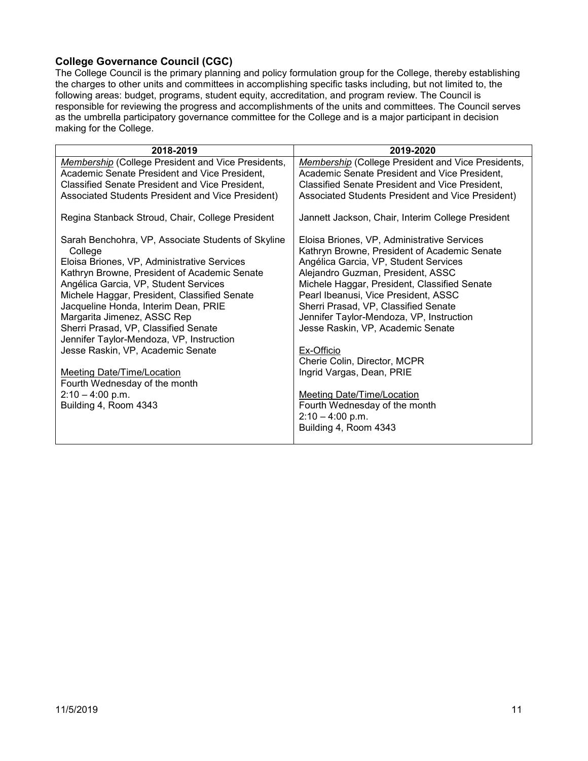### <span id="page-10-0"></span>**College Governance Council (CGC)**

The College Council is the primary planning and policy formulation group for the College, thereby establishing the charges to other units and committees in accomplishing specific tasks including, but not limited to, the following areas: budget, programs, student equity, accreditation, and program review. The Council is responsible for reviewing the progress and accomplishments of the units and committees. The Council serves as the umbrella participatory governance committee for the College and is a major participant in decision making for the College.

| 2018-2019                                                     | 2019-2020                                                                                   |
|---------------------------------------------------------------|---------------------------------------------------------------------------------------------|
| Membership (College President and Vice Presidents,            | Membership (College President and Vice Presidents,                                          |
| Academic Senate President and Vice President,                 | Academic Senate President and Vice President,                                               |
| Classified Senate President and Vice President,               | Classified Senate President and Vice President,                                             |
| Associated Students President and Vice President)             | Associated Students President and Vice President)                                           |
| Regina Stanback Stroud, Chair, College President              | Jannett Jackson, Chair, Interim College President                                           |
| Sarah Benchohra, VP, Associate Students of Skyline<br>College | Eloisa Briones, VP, Administrative Services<br>Kathryn Browne, President of Academic Senate |
| Eloisa Briones, VP, Administrative Services                   | Angélica Garcia, VP, Student Services                                                       |
| Kathryn Browne, President of Academic Senate                  | Alejandro Guzman, President, ASSC                                                           |
| Angélica Garcia, VP, Student Services                         | Michele Haggar, President, Classified Senate                                                |
| Michele Haggar, President, Classified Senate                  | Pearl Ibeanusi, Vice President, ASSC                                                        |
| Jacqueline Honda, Interim Dean, PRIE                          | Sherri Prasad, VP, Classified Senate                                                        |
| Margarita Jimenez, ASSC Rep                                   | Jennifer Taylor-Mendoza, VP, Instruction                                                    |
| Sherri Prasad, VP, Classified Senate                          | Jesse Raskin, VP, Academic Senate                                                           |
| Jennifer Taylor-Mendoza, VP, Instruction                      |                                                                                             |
| Jesse Raskin, VP, Academic Senate                             | Ex-Officio<br>Cherie Colin, Director, MCPR                                                  |
| Meeting Date/Time/Location                                    | Ingrid Vargas, Dean, PRIE                                                                   |
| Fourth Wednesday of the month                                 |                                                                                             |
| $2:10 - 4:00$ p.m.                                            | <b>Meeting Date/Time/Location</b>                                                           |
| Building 4, Room 4343                                         | Fourth Wednesday of the month                                                               |
|                                                               | $2:10 - 4:00$ p.m.                                                                          |
|                                                               | Building 4, Room 4343                                                                       |
|                                                               |                                                                                             |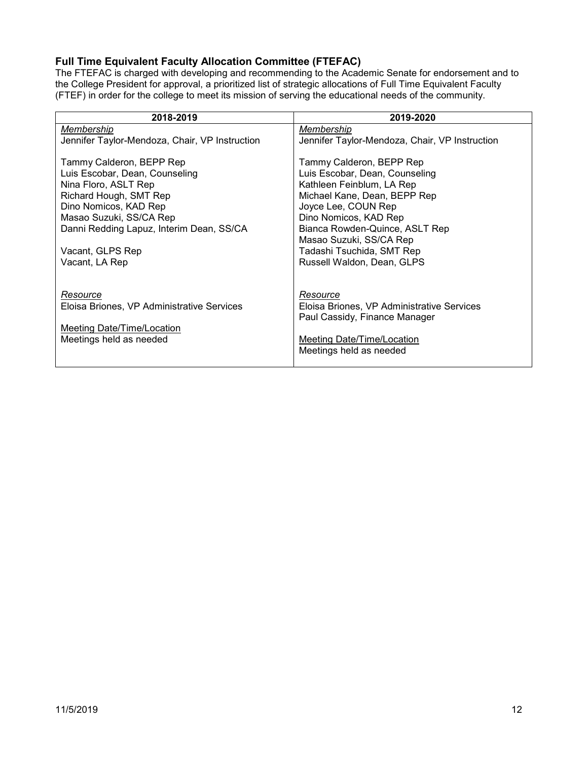# <span id="page-11-0"></span>**Full Time Equivalent Faculty Allocation Committee (FTEFAC)**

The FTEFAC is charged with developing and recommending to the Academic Senate for endorsement and to the College President for approval, a prioritized list of strategic allocations of Full Time Equivalent Faculty (FTEF) in order for the college to meet its mission of serving the educational needs of the community.

| 2018-2019                                      | 2019-2020                                      |
|------------------------------------------------|------------------------------------------------|
| Membership                                     | Membership                                     |
| Jennifer Taylor-Mendoza, Chair, VP Instruction | Jennifer Taylor-Mendoza, Chair, VP Instruction |
| Tammy Calderon, BEPP Rep                       | Tammy Calderon, BEPP Rep                       |
| Luis Escobar, Dean, Counseling                 | Luis Escobar, Dean, Counseling                 |
| Nina Floro, ASLT Rep                           | Kathleen Feinblum, LA Rep                      |
| Richard Hough, SMT Rep                         | Michael Kane, Dean, BEPP Rep                   |
| Dino Nomicos, KAD Rep                          | Joyce Lee, COUN Rep                            |
| Masao Suzuki, SS/CA Rep                        | Dino Nomicos, KAD Rep                          |
| Danni Redding Lapuz, Interim Dean, SS/CA       | Bianca Rowden-Quince, ASLT Rep                 |
|                                                | Masao Suzuki, SS/CA Rep                        |
| Vacant, GLPS Rep                               | Tadashi Tsuchida, SMT Rep                      |
| Vacant, LA Rep                                 | Russell Waldon, Dean, GLPS                     |
|                                                |                                                |
| Resource                                       | Resource                                       |
| Eloisa Briones, VP Administrative Services     | Eloisa Briones, VP Administrative Services     |
|                                                | Paul Cassidy, Finance Manager                  |
| Meeting Date/Time/Location                     |                                                |
| Meetings held as needed                        | Meeting Date/Time/Location                     |
|                                                | Meetings held as needed                        |
|                                                |                                                |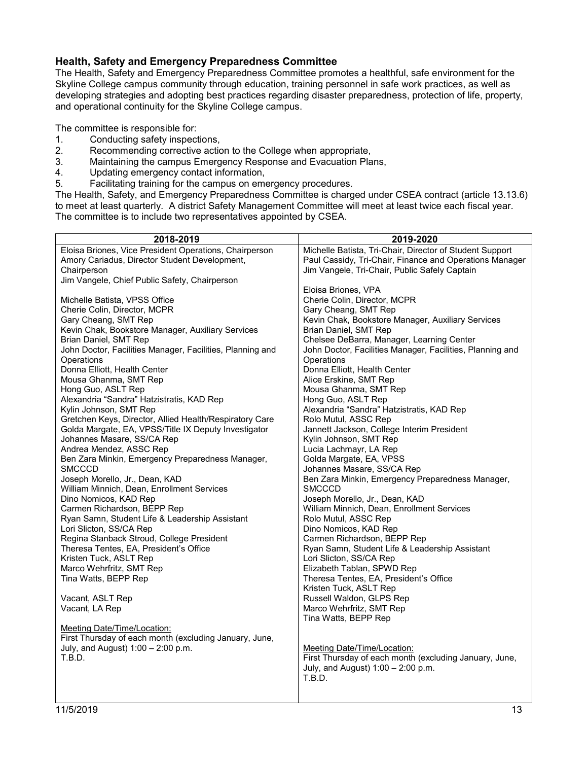#### <span id="page-12-0"></span>**Health, Safety and Emergency Preparedness Committee**

The Health, Safety and Emergency Preparedness Committee promotes a healthful, safe environment for the Skyline College campus community through education, training personnel in safe work practices, as well as developing strategies and adopting best practices regarding disaster preparedness, protection of life, property, and operational continuity for the Skyline College campus.

The committee is responsible for:

- 1. Conducting safety inspections,<br>2. Recommending corrective actional
- 2. Recommending corrective action to the College when appropriate,<br>3. Maintaining the campus Emergency Response and Evacuation Pla
- Maintaining the campus Emergency Response and Evacuation Plans,
- 4. Updating emergency contact information,
- 5. Facilitating training for the campus on emergency procedures.

The Health, Safety, and Emergency Preparedness Committee is charged under CSEA contract (article 13.13.6) to meet at least quarterly. A district Safety Management Committee will meet at least twice each fiscal year. The committee is to include two representatives appointed by CSEA.

| 2018-2019                                                           | 2019-2020                                                 |
|---------------------------------------------------------------------|-----------------------------------------------------------|
| Eloisa Briones, Vice President Operations, Chairperson              | Michelle Batista, Tri-Chair, Director of Student Support  |
| Amory Cariadus, Director Student Development,                       | Paul Cassidy, Tri-Chair, Finance and Operations Manager   |
| Chairperson                                                         | Jim Vangele, Tri-Chair, Public Safely Captain             |
| Jim Vangele, Chief Public Safety, Chairperson                       |                                                           |
|                                                                     | Eloisa Briones, VPA                                       |
| Michelle Batista, VPSS Office                                       | Cherie Colin, Director, MCPR                              |
| Cherie Colin, Director, MCPR                                        | Gary Cheang, SMT Rep                                      |
| Gary Cheang, SMT Rep                                                | Kevin Chak, Bookstore Manager, Auxiliary Services         |
| Kevin Chak, Bookstore Manager, Auxiliary Services                   | Brian Daniel, SMT Rep                                     |
| Brian Daniel, SMT Rep                                               | Chelsee DeBarra, Manager, Learning Center                 |
| John Doctor, Facilities Manager, Facilities, Planning and           | John Doctor, Facilities Manager, Facilities, Planning and |
| Operations                                                          | Operations                                                |
| Donna Elliott, Health Center                                        | Donna Elliott, Health Center                              |
| Mousa Ghanma, SMT Rep                                               | Alice Erskine, SMT Rep                                    |
| Hong Guo, ASLT Rep                                                  | Mousa Ghanma, SMT Rep                                     |
| Alexandria "Sandra" Hatzistratis, KAD Rep                           | Hong Guo, ASLT Rep                                        |
| Kylin Johnson, SMT Rep                                              | Alexandria "Sandra" Hatzistratis, KAD Rep                 |
| Gretchen Keys, Director, Allied Health/Respiratory Care             | Rolo Mutul, ASSC Rep                                      |
| Golda Margate, EA, VPSS/Title IX Deputy Investigator                | Jannett Jackson, College Interim President                |
| Johannes Masare, SS/CA Rep                                          | Kylin Johnson, SMT Rep                                    |
| Andrea Mendez, ASSC Rep                                             | Lucia Lachmayr, LA Rep                                    |
| Ben Zara Minkin, Emergency Preparedness Manager,<br><b>SMCCCD</b>   | Golda Margate, EA, VPSS                                   |
|                                                                     | Johannes Masare, SS/CA Rep                                |
| Joseph Morello, Jr., Dean, KAD                                      | Ben Zara Minkin, Emergency Preparedness Manager,          |
| William Minnich, Dean, Enrollment Services<br>Dino Nomicos, KAD Rep | <b>SMCCCD</b><br>Joseph Morello, Jr., Dean, KAD           |
| Carmen Richardson, BEPP Rep                                         | William Minnich, Dean, Enrollment Services                |
| Ryan Samn, Student Life & Leadership Assistant                      | Rolo Mutul, ASSC Rep                                      |
| Lori Slicton, SS/CA Rep                                             | Dino Nomicos, KAD Rep                                     |
| Regina Stanback Stroud, College President                           | Carmen Richardson, BEPP Rep                               |
| Theresa Tentes, EA, President's Office                              | Ryan Samn, Student Life & Leadership Assistant            |
| Kristen Tuck, ASLT Rep                                              | Lori Slicton, SS/CA Rep                                   |
| Marco Wehrfritz, SMT Rep                                            | Elizabeth Tablan, SPWD Rep                                |
| Tina Watts, BEPP Rep                                                | Theresa Tentes, EA, President's Office                    |
|                                                                     | Kristen Tuck, ASLT Rep                                    |
| Vacant, ASLT Rep                                                    | Russell Waldon, GLPS Rep                                  |
| Vacant, LA Rep                                                      | Marco Wehrfritz, SMT Rep                                  |
|                                                                     | Tina Watts, BEPP Rep                                      |
| Meeting Date/Time/Location:                                         |                                                           |
| First Thursday of each month (excluding January, June,              |                                                           |
| July, and August) 1:00 - 2:00 p.m.                                  | Meeting Date/Time/Location:                               |
| T.B.D.                                                              | First Thursday of each month (excluding January, June,    |
|                                                                     | July, and August) $1:00 - 2:00$ p.m.                      |
|                                                                     | T.B.D.                                                    |
|                                                                     |                                                           |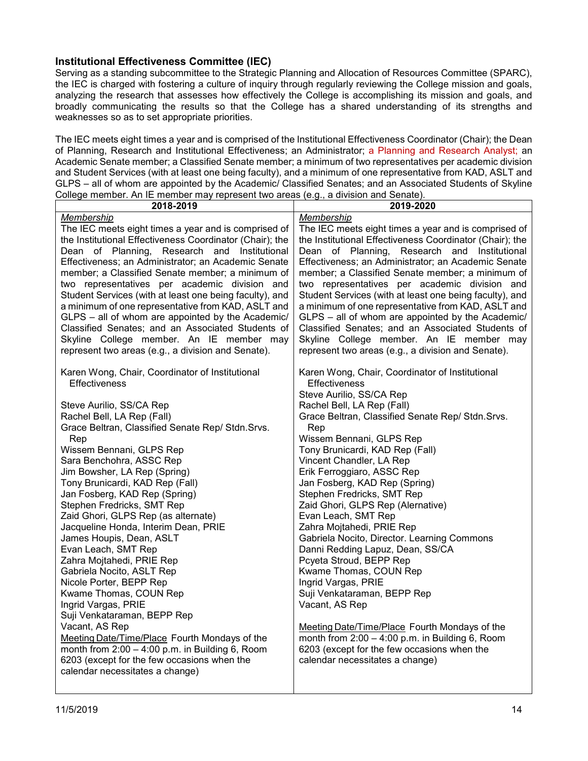#### <span id="page-13-0"></span>**Institutional Effectiveness Committee (IEC)**

Serving as a standing subcommittee to the Strategic Planning and Allocation of Resources Committee (SPARC), the IEC is charged with fostering a culture of inquiry through regularly reviewing the College mission and goals, analyzing the research that assesses how effectively the College is accomplishing its mission and goals, and broadly communicating the results so that the College has a shared understanding of its strengths and weaknesses so as to set appropriate priorities.

The IEC meets eight times a year and is comprised of the Institutional Effectiveness Coordinator (Chair); the Dean of Planning, Research and Institutional Effectiveness; an Administrator; a Planning and Research Analyst; an Academic Senate member; a Classified Senate member; a minimum of two representatives per academic division and Student Services (with at least one being faculty), and a minimum of one representative from KAD, ASLT and GLPS – all of whom are appointed by the Academic/ Classified Senates; and an Associated Students of Skyline College member. An IE member may represent two areas (e.g., a division and Senate).

| Membership<br>The IEC meets eight times a year and is comprised of<br>the Institutional Effectiveness Coordinator (Chair); the<br>Dean of Planning, Research and Institutional<br>Effectiveness; an Administrator; an Academic Senate                                                                                                                                                                                                                                                                                                                                                                                                                                                                                                                                    | Membership<br>The IEC meets eight times a year and is comprised of<br>the Institutional Effectiveness Coordinator (Chair); the<br>Dean of Planning, Research and Institutional<br>Effectiveness; an Administrator; an Academic Senate<br>member; a Classified Senate member; a minimum of<br>two representatives per academic division and                                                                                                                                                                                                                                                                                                                                                                                                                                                    |
|--------------------------------------------------------------------------------------------------------------------------------------------------------------------------------------------------------------------------------------------------------------------------------------------------------------------------------------------------------------------------------------------------------------------------------------------------------------------------------------------------------------------------------------------------------------------------------------------------------------------------------------------------------------------------------------------------------------------------------------------------------------------------|-----------------------------------------------------------------------------------------------------------------------------------------------------------------------------------------------------------------------------------------------------------------------------------------------------------------------------------------------------------------------------------------------------------------------------------------------------------------------------------------------------------------------------------------------------------------------------------------------------------------------------------------------------------------------------------------------------------------------------------------------------------------------------------------------|
| member; a Classified Senate member; a minimum of<br>two representatives per academic division and<br>Student Services (with at least one being faculty), and<br>a minimum of one representative from KAD, ASLT and<br>GLPS - all of whom are appointed by the Academic/<br>Classified Senates; and an Associated Students of<br>Skyline College member. An IE member may<br>represent two areas (e.g., a division and Senate).                                                                                                                                                                                                                                                                                                                                           | Student Services (with at least one being faculty), and<br>a minimum of one representative from KAD, ASLT and<br>GLPS - all of whom are appointed by the Academic/<br>Classified Senates; and an Associated Students of<br>Skyline College member. An IE member may<br>represent two areas (e.g., a division and Senate).                                                                                                                                                                                                                                                                                                                                                                                                                                                                     |
| Karen Wong, Chair, Coordinator of Institutional<br><b>Effectiveness</b><br>Steve Aurilio, SS/CA Rep<br>Rachel Bell, LA Rep (Fall)<br>Grace Beltran, Classified Senate Rep/ Stdn. Srvs.<br>Rep<br>Rep<br>Wissem Bennani, GLPS Rep<br>Sara Benchohra, ASSC Rep<br>Jim Bowsher, LA Rep (Spring)<br>Tony Brunicardi, KAD Rep (Fall)<br>Jan Fosberg, KAD Rep (Spring)<br>Stephen Fredricks, SMT Rep<br>Zaid Ghori, GLPS Rep (as alternate)<br>Jacqueline Honda, Interim Dean, PRIE<br>James Houpis, Dean, ASLT<br>Evan Leach, SMT Rep<br>Zahra Mojtahedi, PRIE Rep<br>Gabriela Nocito, ASLT Rep<br>Nicole Porter, BEPP Rep<br>Kwame Thomas, COUN Rep<br>Ingrid Vargas, PRIE<br>Suji Venkataraman, BEPP Rep<br>Vacant, AS Rep<br>Meeting Date/Time/Place Fourth Mondays of the | Karen Wong, Chair, Coordinator of Institutional<br><b>Effectiveness</b><br>Steve Aurilio, SS/CA Rep<br>Rachel Bell, LA Rep (Fall)<br>Grace Beltran, Classified Senate Rep/ Stdn. Srvs.<br>Wissem Bennani, GLPS Rep<br>Tony Brunicardi, KAD Rep (Fall)<br>Vincent Chandler, LA Rep<br>Erik Ferroggiaro, ASSC Rep<br>Jan Fosberg, KAD Rep (Spring)<br>Stephen Fredricks, SMT Rep<br>Zaid Ghori, GLPS Rep (Alernative)<br>Evan Leach, SMT Rep<br>Zahra Mojtahedi, PRIE Rep<br>Gabriela Nocito, Director. Learning Commons<br>Danni Redding Lapuz, Dean, SS/CA<br>Pcyeta Stroud, BEPP Rep<br>Kwame Thomas, COUN Rep<br>Ingrid Vargas, PRIE<br>Suji Venkataraman, BEPP Rep<br>Vacant, AS Rep<br>Meeting Date/Time/Place Fourth Mondays of the<br>month from $2:00 - 4:00$ p.m. in Building 6, Room |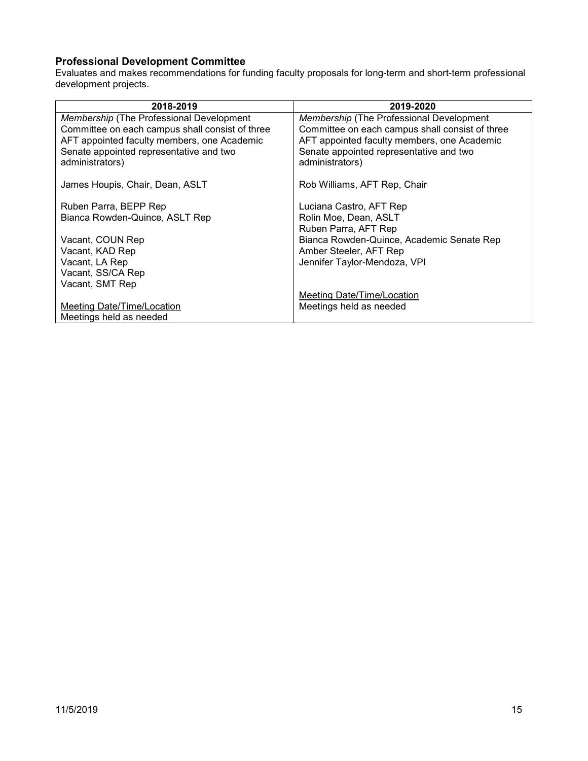### <span id="page-14-0"></span>**Professional Development Committee**

Evaluates and makes recommendations for funding faculty proposals for long-term and short-term professional development projects.

| 2018-2019                                       | 2019-2020                                       |
|-------------------------------------------------|-------------------------------------------------|
| <b>Membership</b> (The Professional Development | Membership (The Professional Development        |
| Committee on each campus shall consist of three | Committee on each campus shall consist of three |
| AFT appointed faculty members, one Academic     | AFT appointed faculty members, one Academic     |
| Senate appointed representative and two         | Senate appointed representative and two         |
| administrators)                                 | administrators)                                 |
|                                                 |                                                 |
| James Houpis, Chair, Dean, ASLT                 | Rob Williams, AFT Rep, Chair                    |
|                                                 |                                                 |
| Ruben Parra, BEPP Rep                           | Luciana Castro, AFT Rep                         |
| Bianca Rowden-Quince, ASLT Rep                  | Rolin Moe, Dean, ASLT                           |
|                                                 | Ruben Parra, AFT Rep                            |
| Vacant, COUN Rep                                | Bianca Rowden-Quince, Academic Senate Rep       |
| Vacant, KAD Rep                                 | Amber Steeler, AFT Rep                          |
| Vacant, LA Rep                                  | Jennifer Taylor-Mendoza, VPI                    |
| Vacant, SS/CA Rep                               |                                                 |
| Vacant, SMT Rep                                 |                                                 |
|                                                 | Meeting Date/Time/Location                      |
| Meeting Date/Time/Location                      | Meetings held as needed                         |
| Meetings held as needed                         |                                                 |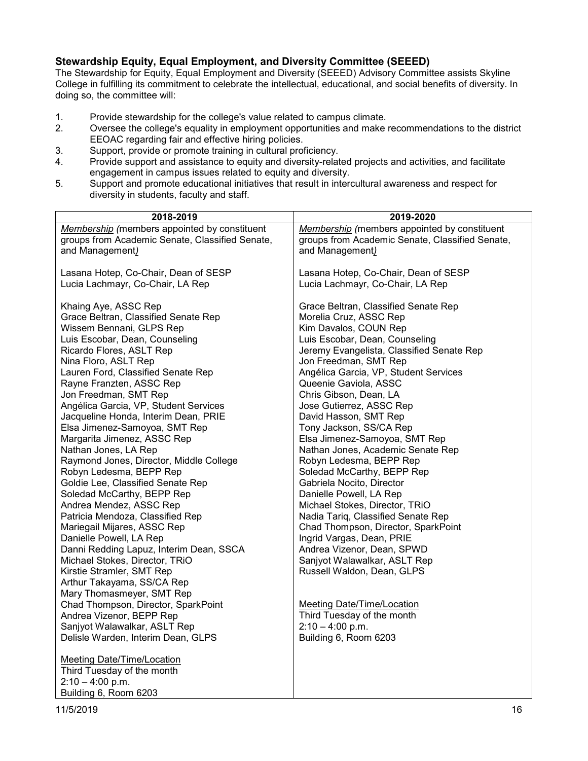### <span id="page-15-0"></span>**Stewardship Equity, Equal Employment, and Diversity Committee (SEEED)**

The Stewardship for Equity, Equal Employment and Diversity (SEEED) Advisory Committee assists Skyline College in fulfilling its commitment to celebrate the intellectual, educational, and social benefits of diversity. In doing so, the committee will:

- 1. Provide stewardship for the college's value related to campus climate.<br>2. Oversee the college's equality in employment opportunities and make
- 2. Oversee the college's equality in employment opportunities and make recommendations to the district EEOAC regarding fair and effective hiring policies.
- 3. Support, provide or promote training in cultural proficiency.
- 4. Provide support and assistance to equity and diversity-related projects and activities, and facilitate engagement in campus issues related to equity and diversity.
- 5. Support and promote educational initiatives that result in intercultural awareness and respect for diversity in students, faculty and staff.

| 2018-2019                                       | 2019-2020                                           |
|-------------------------------------------------|-----------------------------------------------------|
| Membership (members appointed by constituent    | <b>Membership</b> (members appointed by constituent |
| groups from Academic Senate, Classified Senate, | groups from Academic Senate, Classified Senate,     |
| and Management)                                 | and Management)                                     |
|                                                 |                                                     |
| Lasana Hotep, Co-Chair, Dean of SESP            | Lasana Hotep, Co-Chair, Dean of SESP                |
| Lucia Lachmayr, Co-Chair, LA Rep                | Lucia Lachmayr, Co-Chair, LA Rep                    |
|                                                 |                                                     |
| Khaing Aye, ASSC Rep                            | Grace Beltran, Classified Senate Rep                |
| Grace Beltran, Classified Senate Rep            | Morelia Cruz, ASSC Rep                              |
| Wissem Bennani, GLPS Rep                        | Kim Davalos, COUN Rep                               |
| Luis Escobar, Dean, Counseling                  | Luis Escobar, Dean, Counseling                      |
| Ricardo Flores, ASLT Rep                        | Jeremy Evangelista, Classified Senate Rep           |
| Nina Floro, ASLT Rep                            | Jon Freedman, SMT Rep                               |
| Lauren Ford, Classified Senate Rep              | Angélica Garcia, VP, Student Services               |
| Rayne Franzten, ASSC Rep                        | Queenie Gaviola, ASSC                               |
| Jon Freedman, SMT Rep                           | Chris Gibson, Dean, LA                              |
| Angélica Garcia, VP, Student Services           | Jose Gutierrez, ASSC Rep                            |
| Jacqueline Honda, Interim Dean, PRIE            | David Hasson, SMT Rep                               |
| Elsa Jimenez-Samoyoa, SMT Rep                   | Tony Jackson, SS/CA Rep                             |
| Margarita Jimenez, ASSC Rep                     | Elsa Jimenez-Samoyoa, SMT Rep                       |
| Nathan Jones, LA Rep                            | Nathan Jones, Academic Senate Rep                   |
| Raymond Jones, Director, Middle College         | Robyn Ledesma, BEPP Rep                             |
| Robyn Ledesma, BEPP Rep                         | Soledad McCarthy, BEPP Rep                          |
| Goldie Lee, Classified Senate Rep               | Gabriela Nocito, Director                           |
| Soledad McCarthy, BEPP Rep                      | Danielle Powell, LA Rep                             |
| Andrea Mendez, ASSC Rep                         | Michael Stokes, Director, TRiO                      |
| Patricia Mendoza, Classified Rep                | Nadia Tariq, Classified Senate Rep                  |
| Mariegail Mijares, ASSC Rep                     | Chad Thompson, Director, SparkPoint                 |
| Danielle Powell, LA Rep                         | Ingrid Vargas, Dean, PRIE                           |
| Danni Redding Lapuz, Interim Dean, SSCA         | Andrea Vizenor, Dean, SPWD                          |
| Michael Stokes, Director, TRiO                  | Sanjyot Walawalkar, ASLT Rep                        |
| Kirstie Stramler, SMT Rep                       | Russell Waldon, Dean, GLPS                          |
| Arthur Takayama, SS/CA Rep                      |                                                     |
| Mary Thomasmeyer, SMT Rep                       |                                                     |
| Chad Thompson, Director, SparkPoint             | <b>Meeting Date/Time/Location</b>                   |
| Andrea Vizenor, BEPP Rep                        | Third Tuesday of the month                          |
| Sanjyot Walawalkar, ASLT Rep                    | $2:10 - 4:00$ p.m.                                  |
| Delisle Warden, Interim Dean, GLPS              | Building 6, Room 6203                               |
| <b>Meeting Date/Time/Location</b>               |                                                     |
| Third Tuesday of the month                      |                                                     |
| $2:10 - 4:00$ p.m.                              |                                                     |
| Building 6, Room 6203                           |                                                     |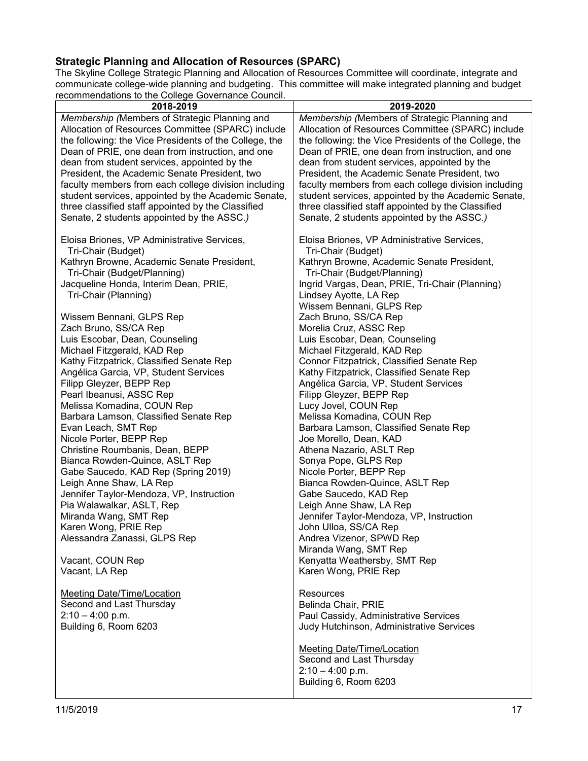# <span id="page-16-0"></span>**Strategic Planning and Allocation of Resources (SPARC)**

The Skyline College Strategic Planning and Allocation of Resources Committee will coordinate, integrate and communicate college-wide planning and budgeting. This committee will make integrated planning and budget recommendations to the College Governance Council.

| ecommendations to the College Governance Council.      |                                                        |
|--------------------------------------------------------|--------------------------------------------------------|
| 2018-2019                                              | 2019-2020                                              |
| Membership (Members of Strategic Planning and          | <b>Membership</b> (Members of Strategic Planning and   |
| Allocation of Resources Committee (SPARC) include      | Allocation of Resources Committee (SPARC) include      |
| the following: the Vice Presidents of the College, the | the following: the Vice Presidents of the College, the |
| Dean of PRIE, one dean from instruction, and one       |                                                        |
|                                                        | Dean of PRIE, one dean from instruction, and one       |
| dean from student services, appointed by the           | dean from student services, appointed by the           |
| President, the Academic Senate President, two          | President, the Academic Senate President, two          |
| faculty members from each college division including   | faculty members from each college division including   |
| student services, appointed by the Academic Senate,    | student services, appointed by the Academic Senate,    |
| three classified staff appointed by the Classified     | three classified staff appointed by the Classified     |
| Senate, 2 students appointed by the ASSC.)             | Senate, 2 students appointed by the ASSC.)             |
|                                                        |                                                        |
|                                                        |                                                        |
| Eloisa Briones, VP Administrative Services,            | Eloisa Briones, VP Administrative Services,            |
| Tri-Chair (Budget)                                     | Tri-Chair (Budget)                                     |
| Kathryn Browne, Academic Senate President,             | Kathryn Browne, Academic Senate President,             |
| Tri-Chair (Budget/Planning)                            | Tri-Chair (Budget/Planning)                            |
| Jacqueline Honda, Interim Dean, PRIE,                  | Ingrid Vargas, Dean, PRIE, Tri-Chair (Planning)        |
| Tri-Chair (Planning)                                   | Lindsey Ayotte, LA Rep                                 |
|                                                        | Wissem Bennani, GLPS Rep                               |
|                                                        |                                                        |
| Wissem Bennani, GLPS Rep                               | Zach Bruno, SS/CA Rep                                  |
| Zach Bruno, SS/CA Rep                                  | Morelia Cruz, ASSC Rep                                 |
| Luis Escobar, Dean, Counseling                         | Luis Escobar, Dean, Counseling                         |
| Michael Fitzgerald, KAD Rep                            | Michael Fitzgerald, KAD Rep                            |
| Kathy Fitzpatrick, Classified Senate Rep               | Connor Fitzpatrick, Classified Senate Rep              |
| Angélica Garcia, VP, Student Services                  | Kathy Fitzpatrick, Classified Senate Rep               |
| Filipp Gleyzer, BEPP Rep                               | Angélica Garcia, VP, Student Services                  |
|                                                        |                                                        |
| Pearl Ibeanusi, ASSC Rep                               | Filipp Gleyzer, BEPP Rep                               |
| Melissa Komadina, COUN Rep                             | Lucy Jovel, COUN Rep                                   |
| Barbara Lamson, Classified Senate Rep                  | Melissa Komadina, COUN Rep                             |
| Evan Leach, SMT Rep                                    | Barbara Lamson, Classified Senate Rep                  |
| Nicole Porter, BEPP Rep                                | Joe Morello, Dean, KAD                                 |
| Christine Roumbanis, Dean, BEPP                        | Athena Nazario, ASLT Rep                               |
| Bianca Rowden-Quince, ASLT Rep                         | Sonya Pope, GLPS Rep                                   |
| Gabe Saucedo, KAD Rep (Spring 2019)                    | Nicole Porter, BEPP Rep                                |
|                                                        |                                                        |
| Leigh Anne Shaw, LA Rep                                | Bianca Rowden-Quince, ASLT Rep                         |
| Jennifer Taylor-Mendoza, VP, Instruction               | Gabe Saucedo, KAD Rep                                  |
| Pia Walawalkar, ASLT, Rep                              | Leigh Anne Shaw, LA Rep                                |
| Miranda Wang, SMT Rep                                  | Jennifer Taylor-Mendoza, VP, Instruction               |
| Karen Wong, PRIE Rep                                   | John Ulloa, SS/CA Rep                                  |
| Alessandra Zanassi, GLPS Rep                           | Andrea Vizenor, SPWD Rep                               |
|                                                        | Miranda Wang, SMT Rep                                  |
| Vacant, COUN Rep                                       | Kenyatta Weathersby, SMT Rep                           |
| Vacant, LA Rep                                         | Karen Wong, PRIE Rep                                   |
|                                                        |                                                        |
|                                                        |                                                        |
| Meeting Date/Time/Location                             | Resources                                              |
| Second and Last Thursday                               | Belinda Chair, PRIE                                    |
| $2:10 - 4:00$ p.m.                                     | Paul Cassidy, Administrative Services                  |
| Building 6, Room 6203                                  | Judy Hutchinson, Administrative Services               |
|                                                        |                                                        |
|                                                        | <b>Meeting Date/Time/Location</b>                      |
|                                                        | Second and Last Thursday                               |
|                                                        | $2:10 - 4:00$ p.m.                                     |
|                                                        |                                                        |
|                                                        | Building 6, Room 6203                                  |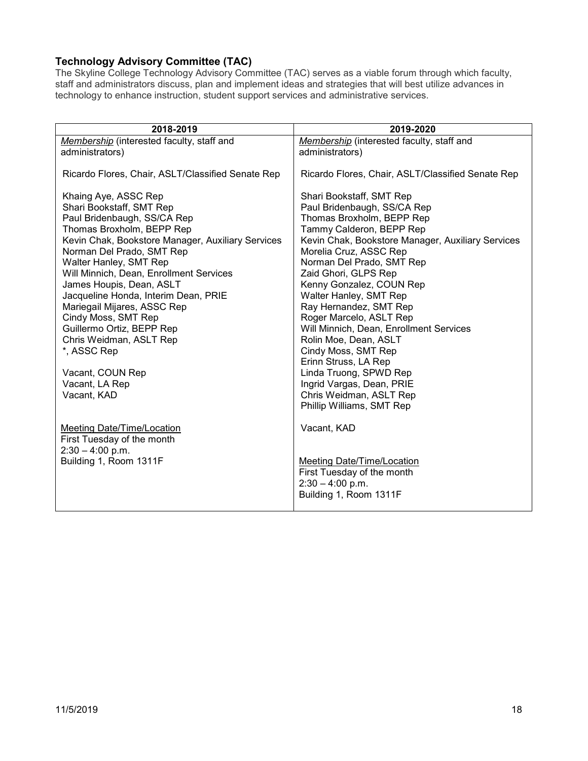# <span id="page-17-0"></span>**Technology Advisory Committee (TAC)**

The Skyline College Technology Advisory Committee (TAC) serves as a viable forum through which faculty, staff and administrators discuss, plan and implement ideas and strategies that will best utilize advances in technology to enhance instruction, student support services and administrative services.

| 2018-2019                                                                                                                                                                                                                                                                                                                                                                                                                                                                                                                 | 2019-2020                                                                                                                                                                                                                                                                                                                                                                                                                                                                                                                                                                                         |
|---------------------------------------------------------------------------------------------------------------------------------------------------------------------------------------------------------------------------------------------------------------------------------------------------------------------------------------------------------------------------------------------------------------------------------------------------------------------------------------------------------------------------|---------------------------------------------------------------------------------------------------------------------------------------------------------------------------------------------------------------------------------------------------------------------------------------------------------------------------------------------------------------------------------------------------------------------------------------------------------------------------------------------------------------------------------------------------------------------------------------------------|
| Membership (interested faculty, staff and                                                                                                                                                                                                                                                                                                                                                                                                                                                                                 | Membership (interested faculty, staff and                                                                                                                                                                                                                                                                                                                                                                                                                                                                                                                                                         |
| administrators)                                                                                                                                                                                                                                                                                                                                                                                                                                                                                                           | administrators)                                                                                                                                                                                                                                                                                                                                                                                                                                                                                                                                                                                   |
| Ricardo Flores, Chair, ASLT/Classified Senate Rep                                                                                                                                                                                                                                                                                                                                                                                                                                                                         | Ricardo Flores, Chair, ASLT/Classified Senate Rep                                                                                                                                                                                                                                                                                                                                                                                                                                                                                                                                                 |
| Khaing Aye, ASSC Rep<br>Shari Bookstaff, SMT Rep<br>Paul Bridenbaugh, SS/CA Rep<br>Thomas Broxholm, BEPP Rep<br>Kevin Chak, Bookstore Manager, Auxiliary Services<br>Norman Del Prado, SMT Rep<br>Walter Hanley, SMT Rep<br>Will Minnich, Dean, Enrollment Services<br>James Houpis, Dean, ASLT<br>Jacqueline Honda, Interim Dean, PRIE<br>Mariegail Mijares, ASSC Rep<br>Cindy Moss, SMT Rep<br>Guillermo Ortiz, BEPP Rep<br>Chris Weidman, ASLT Rep<br>*, ASSC Rep<br>Vacant, COUN Rep<br>Vacant, LA Rep<br>Vacant, KAD | Shari Bookstaff, SMT Rep<br>Paul Bridenbaugh, SS/CA Rep<br>Thomas Broxholm, BEPP Rep<br>Tammy Calderon, BEPP Rep<br>Kevin Chak, Bookstore Manager, Auxiliary Services<br>Morelia Cruz, ASSC Rep<br>Norman Del Prado, SMT Rep<br>Zaid Ghori, GLPS Rep<br>Kenny Gonzalez, COUN Rep<br>Walter Hanley, SMT Rep<br>Ray Hernandez, SMT Rep<br>Roger Marcelo, ASLT Rep<br>Will Minnich, Dean, Enrollment Services<br>Rolin Moe, Dean, ASLT<br>Cindy Moss, SMT Rep<br>Erinn Struss, LA Rep<br>Linda Truong, SPWD Rep<br>Ingrid Vargas, Dean, PRIE<br>Chris Weidman, ASLT Rep<br>Phillip Williams, SMT Rep |
| <b>Meeting Date/Time/Location</b><br>First Tuesday of the month<br>$2:30 - 4:00$ p.m.<br>Building 1, Room 1311F                                                                                                                                                                                                                                                                                                                                                                                                           | Vacant, KAD<br><b>Meeting Date/Time/Location</b><br>First Tuesday of the month<br>$2:30 - 4:00$ p.m.<br>Building 1, Room 1311F                                                                                                                                                                                                                                                                                                                                                                                                                                                                    |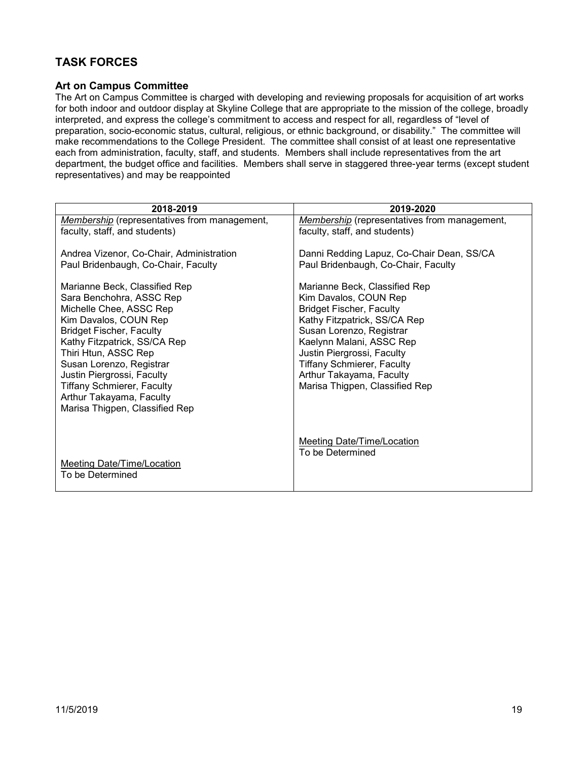# <span id="page-18-0"></span>**TASK FORCES**

#### <span id="page-18-1"></span>**Art on Campus Committee**

The Art on Campus Committee is charged with developing and reviewing proposals for acquisition of art works for both indoor and outdoor display at Skyline College that are appropriate to the mission of the college, broadly interpreted, and express the college's commitment to access and respect for all, regardless of "level of preparation, socio-economic status, cultural, religious, or ethnic background, or disability." The committee will make recommendations to the College President. The committee shall consist of at least one representative each from administration, faculty, staff, and students. Members shall include representatives from the art department, the budget office and facilities. Members shall serve in staggered three-year terms (except student representatives) and may be reappointed

| 2018-2019                                                                                                                                                                                                                                                                                                                                                             | 2019-2020                                                                                                                                                                                                                                                                                                          |
|-----------------------------------------------------------------------------------------------------------------------------------------------------------------------------------------------------------------------------------------------------------------------------------------------------------------------------------------------------------------------|--------------------------------------------------------------------------------------------------------------------------------------------------------------------------------------------------------------------------------------------------------------------------------------------------------------------|
| <b>Membership</b> (representatives from management,                                                                                                                                                                                                                                                                                                                   | <b>Membership</b> (representatives from management,                                                                                                                                                                                                                                                                |
| faculty, staff, and students)                                                                                                                                                                                                                                                                                                                                         | faculty, staff, and students)                                                                                                                                                                                                                                                                                      |
| Andrea Vizenor, Co-Chair, Administration<br>Paul Bridenbaugh, Co-Chair, Faculty                                                                                                                                                                                                                                                                                       | Danni Redding Lapuz, Co-Chair Dean, SS/CA<br>Paul Bridenbaugh, Co-Chair, Faculty                                                                                                                                                                                                                                   |
| Marianne Beck, Classified Rep<br>Sara Benchohra, ASSC Rep<br>Michelle Chee, ASSC Rep<br>Kim Davalos, COUN Rep<br><b>Bridget Fischer, Faculty</b><br>Kathy Fitzpatrick, SS/CA Rep<br>Thiri Htun, ASSC Rep<br>Susan Lorenzo, Registrar<br>Justin Piergrossi, Faculty<br><b>Tiffany Schmierer, Faculty</b><br>Arthur Takayama, Faculty<br>Marisa Thigpen, Classified Rep | Marianne Beck, Classified Rep<br>Kim Davalos, COUN Rep<br><b>Bridget Fischer, Faculty</b><br>Kathy Fitzpatrick, SS/CA Rep<br>Susan Lorenzo, Registrar<br>Kaelynn Malani, ASSC Rep<br>Justin Piergrossi, Faculty<br><b>Tiffany Schmierer, Faculty</b><br>Arthur Takayama, Faculty<br>Marisa Thigpen, Classified Rep |
| Meeting Date/Time/Location<br>To be Determined                                                                                                                                                                                                                                                                                                                        | Meeting Date/Time/Location<br>To be Determined                                                                                                                                                                                                                                                                     |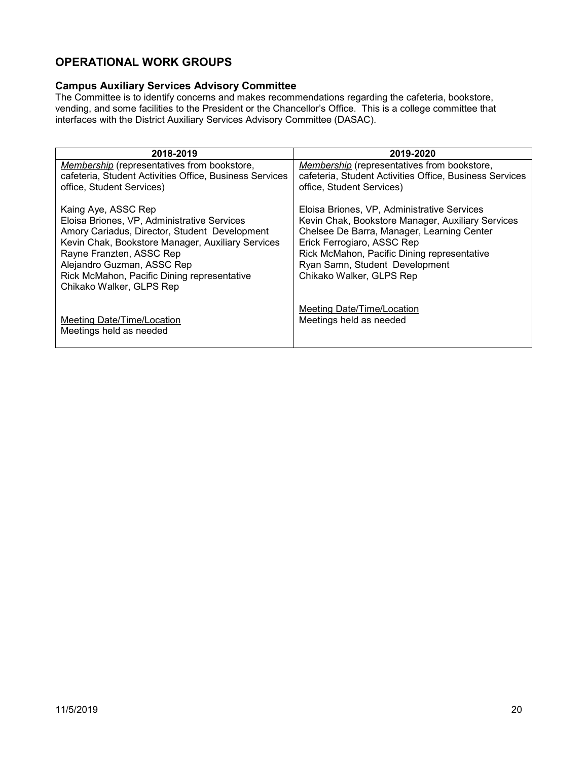# <span id="page-19-0"></span>**OPERATIONAL WORK GROUPS**

### <span id="page-19-1"></span>**Campus Auxiliary Services Advisory Committee**

The Committee is to identify concerns and makes recommendations regarding the cafeteria, bookstore, vending, and some facilities to the President or the Chancellor's Office. This is a college committee that interfaces with the District Auxiliary Services Advisory Committee (DASAC).

| 2018-2019                                                                                                     | 2019-2020                                                                                              |
|---------------------------------------------------------------------------------------------------------------|--------------------------------------------------------------------------------------------------------|
| <b>Membership</b> (representatives from bookstore,<br>cafeteria, Student Activities Office, Business Services | Membership (representatives from bookstore,<br>cafeteria, Student Activities Office, Business Services |
| office, Student Services)                                                                                     | office, Student Services)                                                                              |
| Kaing Aye, ASSC Rep                                                                                           | Eloisa Briones, VP, Administrative Services                                                            |
| Eloisa Briones, VP, Administrative Services                                                                   | Kevin Chak, Bookstore Manager, Auxiliary Services                                                      |
| Amory Cariadus, Director, Student Development<br>Kevin Chak, Bookstore Manager, Auxiliary Services            | Chelsee De Barra, Manager, Learning Center<br>Erick Ferrogiaro, ASSC Rep                               |
| Rayne Franzten, ASSC Rep                                                                                      | Rick McMahon, Pacific Dining representative                                                            |
| Alejandro Guzman, ASSC Rep                                                                                    | Ryan Samn, Student Development                                                                         |
| Rick McMahon, Pacific Dining representative                                                                   | Chikako Walker, GLPS Rep                                                                               |
| Chikako Walker, GLPS Rep                                                                                      |                                                                                                        |
|                                                                                                               | Meeting Date/Time/Location                                                                             |
| Meeting Date/Time/Location                                                                                    | Meetings held as needed                                                                                |
| Meetings held as needed                                                                                       |                                                                                                        |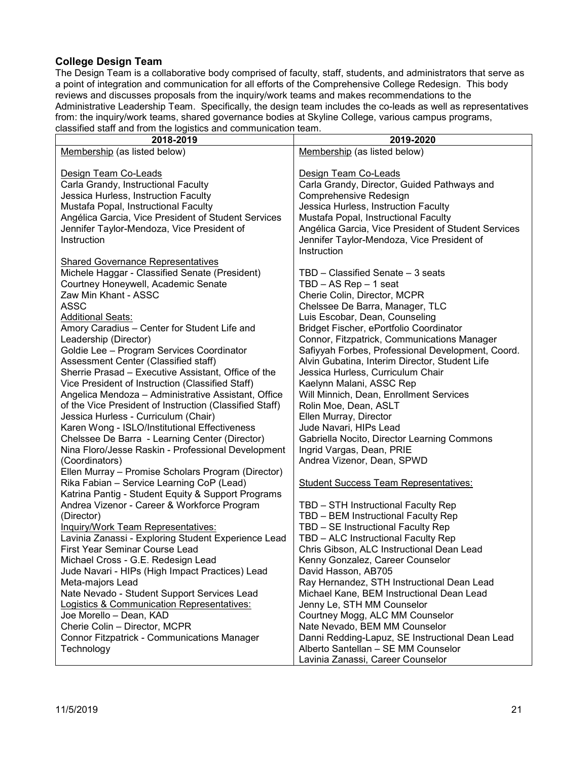### <span id="page-20-0"></span>**College Design Team**

The Design Team is a collaborative body comprised of faculty, staff, students, and administrators that serve as a point of integration and communication for all efforts of the Comprehensive College Redesign. This body reviews and discusses proposals from the inquiry/work teams and makes recommendations to the Administrative Leadership Team. Specifically, the design team includes the co-leads as well as representatives from: the inquiry/work teams, shared governance bodies at Skyline College, various campus programs, classified staff and from the logistics and communication team.

| alabolited blant and from the logiotics and communication team. |                                                     |
|-----------------------------------------------------------------|-----------------------------------------------------|
| 2018-2019                                                       | 2019-2020                                           |
| Membership (as listed below)                                    | Membership (as listed below)                        |
|                                                                 |                                                     |
| Design Team Co-Leads                                            | Design Team Co-Leads                                |
|                                                                 |                                                     |
| Carla Grandy, Instructional Faculty                             | Carla Grandy, Director, Guided Pathways and         |
| Jessica Hurless, Instruction Faculty                            | Comprehensive Redesign                              |
| Mustafa Popal, Instructional Faculty                            | Jessica Hurless, Instruction Faculty                |
| Angélica Garcia, Vice President of Student Services             | Mustafa Popal, Instructional Faculty                |
| Jennifer Taylor-Mendoza, Vice President of                      | Angélica Garcia, Vice President of Student Services |
| Instruction                                                     | Jennifer Taylor-Mendoza, Vice President of          |
|                                                                 |                                                     |
|                                                                 | Instruction                                         |
| <b>Shared Governance Representatives</b>                        |                                                     |
| Michele Haggar - Classified Senate (President)                  | TBD - Classified Senate - 3 seats                   |
| Courtney Honeywell, Academic Senate                             | $TBD - AS Rep - 1 seat$                             |
| Zaw Min Khant - ASSC                                            | Cherie Colin, Director, MCPR                        |
|                                                                 |                                                     |
| <b>ASSC</b>                                                     | Chelssee De Barra, Manager, TLC                     |
| <b>Additional Seats:</b>                                        | Luis Escobar, Dean, Counseling                      |
| Amory Caradius - Center for Student Life and                    | Bridget Fischer, ePortfolio Coordinator             |
| Leadership (Director)                                           | Connor, Fitzpatrick, Communications Manager         |
| Goldie Lee - Program Services Coordinator                       | Safiyyah Forbes, Professional Development, Coord.   |
| Assessment Center (Classified staff)                            | Alvin Gubatina, Interim Director, Student Life      |
| Sherrie Prasad - Executive Assistant, Office of the             | Jessica Hurless, Curriculum Chair                   |
|                                                                 |                                                     |
| Vice President of Instruction (Classified Staff)                | Kaelynn Malani, ASSC Rep                            |
| Angelica Mendoza - Administrative Assistant, Office             | Will Minnich, Dean, Enrollment Services             |
| of the Vice President of Instruction (Classified Staff)         | Rolin Moe, Dean, ASLT                               |
| Jessica Hurless - Curriculum (Chair)                            | Ellen Murray, Director                              |
| Karen Wong - ISLO/Institutional Effectiveness                   | Jude Navari, HIPs Lead                              |
| Chelssee De Barra - Learning Center (Director)                  | Gabriella Nocito, Director Learning Commons         |
| Nina Floro/Jesse Raskin - Professional Development              | Ingrid Vargas, Dean, PRIE                           |
|                                                                 |                                                     |
| (Coordinators)                                                  | Andrea Vizenor, Dean, SPWD                          |
| Ellen Murray - Promise Scholars Program (Director)              |                                                     |
| Rika Fabian - Service Learning CoP (Lead)                       | <b>Student Success Team Representatives:</b>        |
| Katrina Pantig - Student Equity & Support Programs              |                                                     |
| Andrea Vizenor - Career & Workforce Program                     | TBD - STH Instructional Faculty Rep                 |
| (Director)                                                      | TBD - BEM Instructional Faculty Rep                 |
| <b>Inquiry/Work Team Representatives:</b>                       | TBD - SE Instructional Faculty Rep                  |
|                                                                 |                                                     |
| Lavinia Zanassi - Exploring Student Experience Lead             | TBD - ALC Instructional Faculty Rep                 |
| First Year Seminar Course Lead                                  | Chris Gibson, ALC Instructional Dean Lead           |
| Michael Cross - G.E. Redesign Lead                              | Kenny Gonzalez, Career Counselor                    |
| Jude Navari - HIPs (High Impact Practices) Lead                 | David Hasson, AB705                                 |
| Meta-majors Lead                                                | Ray Hernandez, STH Instructional Dean Lead          |
| Nate Nevado - Student Support Services Lead                     | Michael Kane, BEM Instructional Dean Lead           |
| <b>Logistics &amp; Communication Representatives:</b>           | Jenny Le, STH MM Counselor                          |
| Joe Morello - Dean, KAD                                         |                                                     |
|                                                                 | Courtney Mogg, ALC MM Counselor                     |
| Cherie Colin - Director, MCPR                                   | Nate Nevado, BEM MM Counselor                       |
| <b>Connor Fitzpatrick - Communications Manager</b>              | Danni Redding-Lapuz, SE Instructional Dean Lead     |
| Technology                                                      | Alberto Santellan - SE MM Counselor                 |
|                                                                 | Lavinia Zanassi, Career Counselor                   |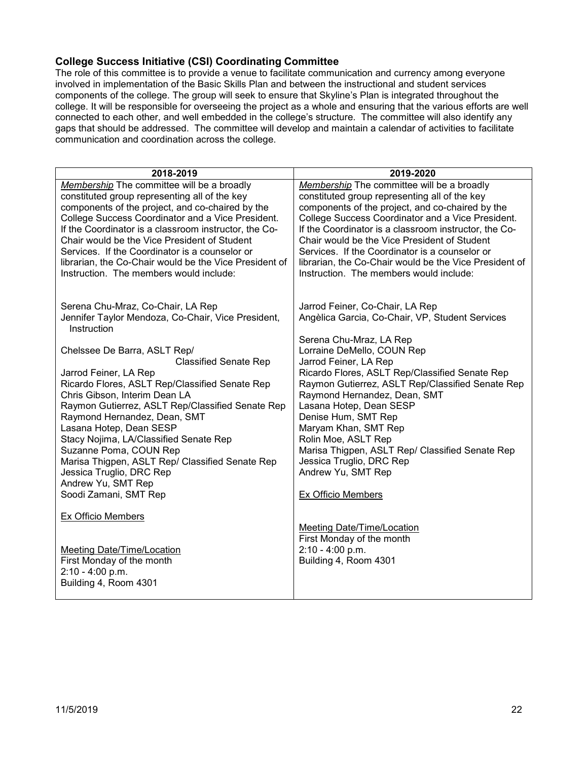#### <span id="page-21-0"></span>**College Success Initiative (CSI) Coordinating Committee**

The role of this committee is to provide a venue to facilitate communication and currency among everyone involved in implementation of the Basic Skills Plan and between the instructional and student services components of the college. The group will seek to ensure that Skyline's Plan is integrated throughout the college. It will be responsible for overseeing the project as a whole and ensuring that the various efforts are well connected to each other, and well embedded in the college's structure. The committee will also identify any gaps that should be addressed. The committee will develop and maintain a calendar of activities to facilitate communication and coordination across the college.

| 2018-2019                                                                                      | 2019-2020                                                                                      |
|------------------------------------------------------------------------------------------------|------------------------------------------------------------------------------------------------|
| Membership The committee will be a broadly                                                     | Membership The committee will be a broadly                                                     |
| constituted group representing all of the key                                                  | constituted group representing all of the key                                                  |
| components of the project, and co-chaired by the                                               | components of the project, and co-chaired by the                                               |
| College Success Coordinator and a Vice President.                                              | College Success Coordinator and a Vice President.                                              |
| If the Coordinator is a classroom instructor, the Co-                                          | If the Coordinator is a classroom instructor, the Co-                                          |
| Chair would be the Vice President of Student<br>Services. If the Coordinator is a counselor or | Chair would be the Vice President of Student<br>Services. If the Coordinator is a counselor or |
| librarian, the Co-Chair would be the Vice President of                                         | librarian, the Co-Chair would be the Vice President of                                         |
| Instruction. The members would include:                                                        | Instruction. The members would include:                                                        |
|                                                                                                |                                                                                                |
|                                                                                                |                                                                                                |
| Serena Chu-Mraz, Co-Chair, LA Rep                                                              | Jarrod Feiner, Co-Chair, LA Rep                                                                |
| Jennifer Taylor Mendoza, Co-Chair, Vice President,<br>Instruction                              | Angèlica Garcia, Co-Chair, VP, Student Services                                                |
|                                                                                                | Serena Chu-Mraz, LA Rep                                                                        |
| Chelssee De Barra, ASLT Rep/                                                                   | Lorraine DeMello, COUN Rep                                                                     |
| <b>Classified Senate Rep</b>                                                                   | Jarrod Feiner, LA Rep                                                                          |
| Jarrod Feiner, LA Rep                                                                          | Ricardo Flores, ASLT Rep/Classified Senate Rep                                                 |
| Ricardo Flores, ASLT Rep/Classified Senate Rep                                                 | Raymon Gutierrez, ASLT Rep/Classified Senate Rep                                               |
| Chris Gibson, Interim Dean LA<br>Raymon Gutierrez, ASLT Rep/Classified Senate Rep              | Raymond Hernandez, Dean, SMT<br>Lasana Hotep, Dean SESP                                        |
| Raymond Hernandez, Dean, SMT                                                                   | Denise Hum, SMT Rep                                                                            |
| Lasana Hotep, Dean SESP                                                                        | Maryam Khan, SMT Rep                                                                           |
| Stacy Nojima, LA/Classified Senate Rep                                                         | Rolin Moe, ASLT Rep                                                                            |
| Suzanne Poma, COUN Rep                                                                         | Marisa Thigpen, ASLT Rep/ Classified Senate Rep                                                |
| Marisa Thigpen, ASLT Rep/ Classified Senate Rep                                                | Jessica Truglio, DRC Rep                                                                       |
| Jessica Truglio, DRC Rep                                                                       | Andrew Yu, SMT Rep                                                                             |
| Andrew Yu, SMT Rep                                                                             |                                                                                                |
| Soodi Zamani, SMT Rep                                                                          | Ex Officio Members                                                                             |
| Ex Officio Members                                                                             |                                                                                                |
|                                                                                                | <b>Meeting Date/Time/Location</b>                                                              |
|                                                                                                | First Monday of the month                                                                      |
| Meeting Date/Time/Location                                                                     | 2:10 - 4:00 p.m.                                                                               |
| First Monday of the month                                                                      | Building 4, Room 4301                                                                          |
| $2:10 - 4:00 p.m.$                                                                             |                                                                                                |
| Building 4, Room 4301                                                                          |                                                                                                |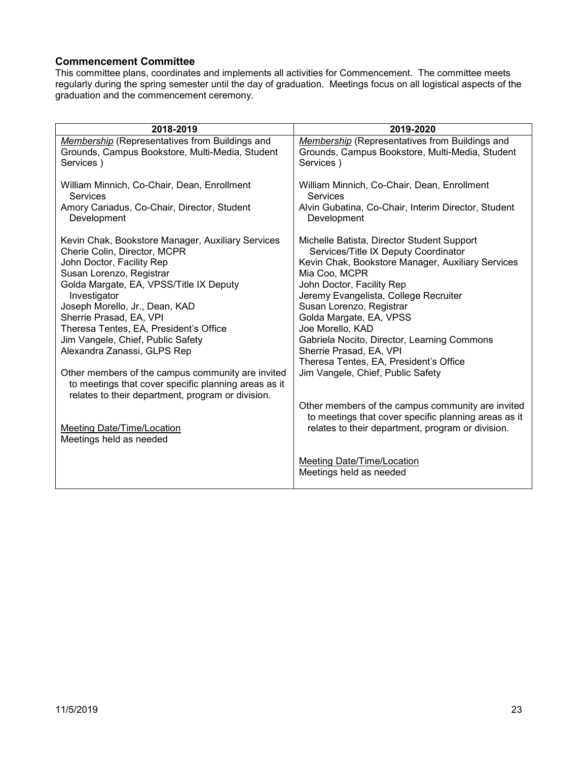#### <span id="page-22-0"></span>**Commencement Committee**

This committee plans, coordinates and implements all activities for Commencement. The committee meets regularly during the spring semester until the day of graduation. Meetings focus on all logistical aspects of the graduation and the commencement ceremony.

| 2018-2019                                            | 2019-2020                                             |
|------------------------------------------------------|-------------------------------------------------------|
| Membership (Representatives from Buildings and       | Membership (Representatives from Buildings and        |
| Grounds, Campus Bookstore, Multi-Media, Student      | Grounds, Campus Bookstore, Multi-Media, Student       |
| Services)                                            | Services)                                             |
| William Minnich, Co-Chair, Dean, Enrollment          | William Minnich, Co-Chair, Dean, Enrollment           |
| <b>Services</b>                                      | <b>Services</b>                                       |
| Amory Cariadus, Co-Chair, Director, Student          | Alvin Gubatina, Co-Chair, Interim Director, Student   |
| Development                                          | Development                                           |
| Kevin Chak, Bookstore Manager, Auxiliary Services    | Michelle Batista, Director Student Support            |
| Cherie Colin, Director, MCPR                         | Services/Title IX Deputy Coordinator                  |
| John Doctor, Facility Rep                            | Kevin Chak, Bookstore Manager, Auxiliary Services     |
| Susan Lorenzo, Registrar                             | Mia Coo, MCPR                                         |
| Golda Margate, EA, VPSS/Title IX Deputy              | John Doctor, Facility Rep                             |
| Investigator                                         | Jeremy Evangelista, College Recruiter                 |
| Joseph Morello, Jr., Dean, KAD                       | Susan Lorenzo, Registrar                              |
| Sherrie Prasad, EA, VPI                              | Golda Margate, EA, VPSS                               |
| Theresa Tentes, EA, President's Office               | Joe Morello, KAD                                      |
| Jim Vangele, Chief, Public Safety                    | Gabriela Nocito, Director, Learning Commons           |
| Alexandra Zanassi, GLPS Rep                          | Sherrie Prasad, EA, VPI                               |
| Other members of the campus community are invited    | Theresa Tentes, EA, President's Office                |
| to meetings that cover specific planning areas as it | Jim Vangele, Chief, Public Safety                     |
| relates to their department, program or division.    | Other members of the campus community are invited     |
| Meeting Date/Time/Location                           | to meetings that cover specific planning areas as it  |
| Meetings held as needed                              | relates to their department, program or division.     |
|                                                      | Meeting Date/Time/Location<br>Meetings held as needed |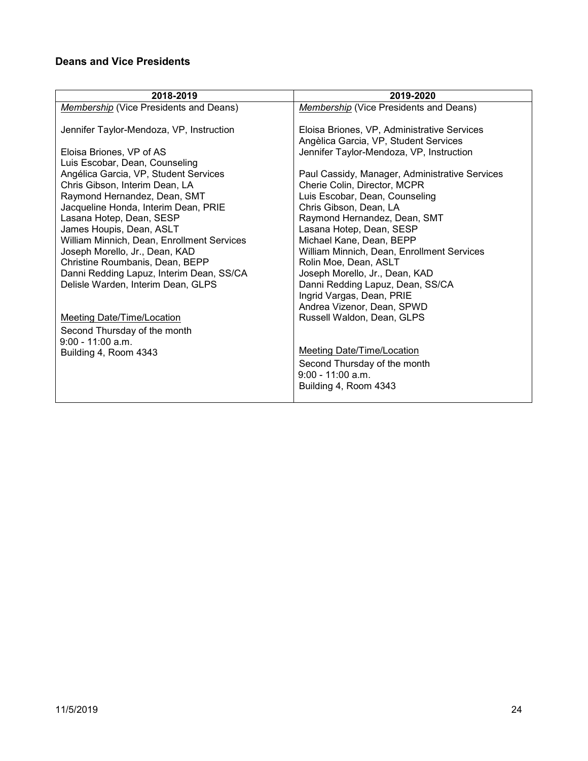# <span id="page-23-0"></span>**Deans and Vice Presidents**

| 2018-2019                                  | 2019-2020                                               |
|--------------------------------------------|---------------------------------------------------------|
| Membership (Vice Presidents and Deans)     | Membership (Vice Presidents and Deans)                  |
|                                            |                                                         |
| Jennifer Taylor-Mendoza, VP, Instruction   | Eloisa Briones, VP, Administrative Services             |
|                                            | Angèlica Garcia, VP, Student Services                   |
| Eloisa Briones, VP of AS                   | Jennifer Taylor-Mendoza, VP, Instruction                |
| Luis Escobar, Dean, Counseling             |                                                         |
| Angélica Garcia, VP, Student Services      | Paul Cassidy, Manager, Administrative Services          |
| Chris Gibson, Interim Dean, LA             | Cherie Colin, Director, MCPR                            |
| Raymond Hernandez, Dean, SMT               | Luis Escobar, Dean, Counseling                          |
| Jacqueline Honda, Interim Dean, PRIE       | Chris Gibson, Dean, LA                                  |
| Lasana Hotep, Dean, SESP                   | Raymond Hernandez, Dean, SMT                            |
| James Houpis, Dean, ASLT                   | Lasana Hotep, Dean, SESP                                |
| William Minnich, Dean, Enrollment Services | Michael Kane, Dean, BEPP                                |
| Joseph Morello, Jr., Dean, KAD             | William Minnich, Dean, Enrollment Services              |
| Christine Roumbanis, Dean, BEPP            | Rolin Moe, Dean, ASLT                                   |
| Danni Redding Lapuz, Interim Dean, SS/CA   | Joseph Morello, Jr., Dean, KAD                          |
| Delisle Warden, Interim Dean, GLPS         | Danni Redding Lapuz, Dean, SS/CA                        |
|                                            | Ingrid Vargas, Dean, PRIE<br>Andrea Vizenor, Dean, SPWD |
| <b>Meeting Date/Time/Location</b>          | Russell Waldon, Dean, GLPS                              |
|                                            |                                                         |
| Second Thursday of the month               |                                                         |
| $9:00 - 11:00$ a.m.                        | <b>Meeting Date/Time/Location</b>                       |
| Building 4, Room 4343                      |                                                         |
|                                            | Second Thursday of the month<br>$9:00 - 11:00$ a.m.     |
|                                            |                                                         |
|                                            | Building 4, Room 4343                                   |
|                                            |                                                         |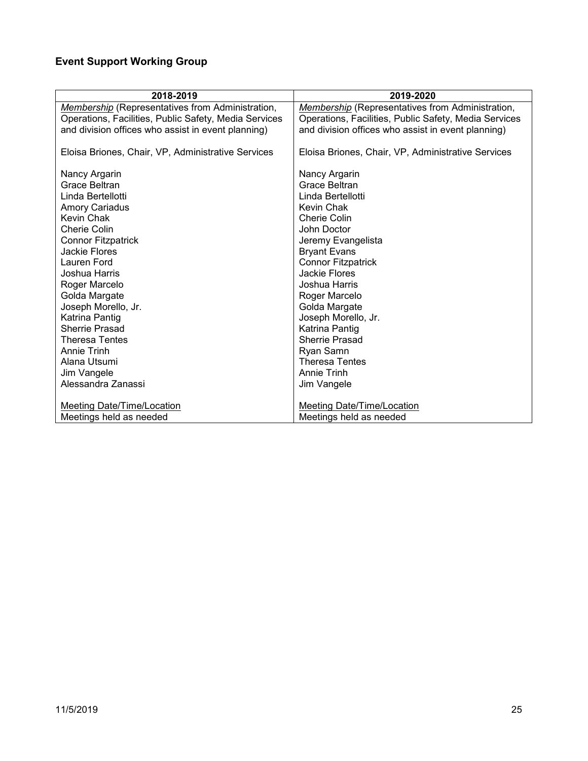# <span id="page-24-0"></span>**Event Support Working Group**

| 2018-2019                                               | 2019-2020                                               |
|---------------------------------------------------------|---------------------------------------------------------|
| <b>Membership (Representatives from Administration,</b> | <b>Membership</b> (Representatives from Administration, |
| Operations, Facilities, Public Safety, Media Services   | Operations, Facilities, Public Safety, Media Services   |
| and division offices who assist in event planning)      | and division offices who assist in event planning)      |
|                                                         |                                                         |
| Eloisa Briones, Chair, VP, Administrative Services      | Eloisa Briones, Chair, VP, Administrative Services      |
|                                                         |                                                         |
| Nancy Argarin                                           | Nancy Argarin                                           |
| Grace Beltran                                           | Grace Beltran                                           |
| Linda Bertellotti                                       | Linda Bertellotti                                       |
| <b>Amory Cariadus</b>                                   | Kevin Chak                                              |
| Kevin Chak                                              | Cherie Colin                                            |
| <b>Cherie Colin</b>                                     | John Doctor                                             |
| <b>Connor Fitzpatrick</b>                               | Jeremy Evangelista                                      |
| Jackie Flores                                           | <b>Bryant Evans</b>                                     |
| Lauren Ford                                             | <b>Connor Fitzpatrick</b>                               |
| Joshua Harris                                           | <b>Jackie Flores</b>                                    |
| Roger Marcelo                                           | Joshua Harris                                           |
| Golda Margate                                           | Roger Marcelo                                           |
| Joseph Morello, Jr.                                     | Golda Margate                                           |
| Katrina Pantig                                          | Joseph Morello, Jr.                                     |
| Sherrie Prasad                                          | Katrina Pantig                                          |
| Theresa Tentes                                          | Sherrie Prasad                                          |
| Annie Trinh                                             | Ryan Samn                                               |
| Alana Utsumi                                            | <b>Theresa Tentes</b>                                   |
| Jim Vangele                                             | Annie Trinh                                             |
| Alessandra Zanassi                                      | Jim Vangele                                             |
|                                                         |                                                         |
| Meeting Date/Time/Location                              | Meeting Date/Time/Location                              |
| Meetings held as needed                                 | Meetings held as needed                                 |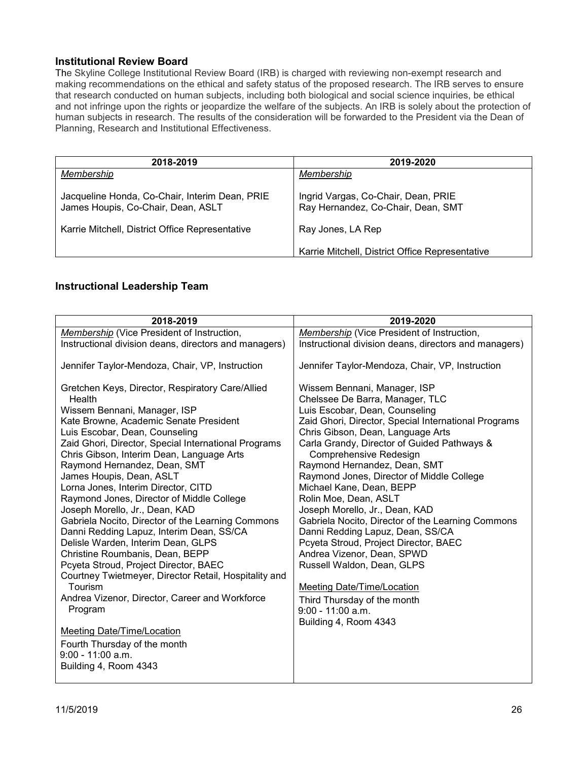#### <span id="page-25-0"></span>**Institutional Review Board**

The Skyline College Institutional Review Board (IRB) is charged with reviewing non-exempt research and making recommendations on the ethical and safety status of the proposed research. The IRB serves to ensure that research conducted on human subjects, including both biological and social science inquiries, be ethical and not infringe upon the rights or jeopardize the welfare of the subjects. An IRB is solely about the protection of human subjects in research. The results of the consideration will be forwarded to the President via the Dean of Planning, Research and Institutional Effectiveness.

| 2018-2019                                                                            | 2019-2020                                                                 |
|--------------------------------------------------------------------------------------|---------------------------------------------------------------------------|
| Membership                                                                           | Membership                                                                |
| Jacqueline Honda, Co-Chair, Interim Dean, PRIE<br>James Houpis, Co-Chair, Dean, ASLT | Ingrid Vargas, Co-Chair, Dean, PRIE<br>Ray Hernandez, Co-Chair, Dean, SMT |
| Karrie Mitchell, District Office Representative                                      | Ray Jones, LA Rep                                                         |
|                                                                                      | Karrie Mitchell, District Office Representative                           |

#### <span id="page-25-1"></span>**Instructional Leadership Team**

| 2018-2019                                                                                                                                                                                                                                                                                                                                                                                                                                                                                                                                                                                                                                                                                                                                                                                                                                                                                                                              | 2019-2020                                                                                                                                                                                                                                                                                                                                                                                                                                                                                                                                                                                                                                                                                                                                                     |
|----------------------------------------------------------------------------------------------------------------------------------------------------------------------------------------------------------------------------------------------------------------------------------------------------------------------------------------------------------------------------------------------------------------------------------------------------------------------------------------------------------------------------------------------------------------------------------------------------------------------------------------------------------------------------------------------------------------------------------------------------------------------------------------------------------------------------------------------------------------------------------------------------------------------------------------|---------------------------------------------------------------------------------------------------------------------------------------------------------------------------------------------------------------------------------------------------------------------------------------------------------------------------------------------------------------------------------------------------------------------------------------------------------------------------------------------------------------------------------------------------------------------------------------------------------------------------------------------------------------------------------------------------------------------------------------------------------------|
| Membership (Vice President of Instruction,                                                                                                                                                                                                                                                                                                                                                                                                                                                                                                                                                                                                                                                                                                                                                                                                                                                                                             | <b>Membership</b> (Vice President of Instruction,                                                                                                                                                                                                                                                                                                                                                                                                                                                                                                                                                                                                                                                                                                             |
| Instructional division deans, directors and managers)                                                                                                                                                                                                                                                                                                                                                                                                                                                                                                                                                                                                                                                                                                                                                                                                                                                                                  | Instructional division deans, directors and managers)                                                                                                                                                                                                                                                                                                                                                                                                                                                                                                                                                                                                                                                                                                         |
| Jennifer Taylor-Mendoza, Chair, VP, Instruction                                                                                                                                                                                                                                                                                                                                                                                                                                                                                                                                                                                                                                                                                                                                                                                                                                                                                        | Jennifer Taylor-Mendoza, Chair, VP, Instruction                                                                                                                                                                                                                                                                                                                                                                                                                                                                                                                                                                                                                                                                                                               |
| Gretchen Keys, Director, Respiratory Care/Allied<br>Health<br>Wissem Bennani, Manager, ISP<br>Kate Browne, Academic Senate President<br>Luis Escobar, Dean, Counseling<br>Zaid Ghori, Director, Special International Programs<br>Chris Gibson, Interim Dean, Language Arts<br>Raymond Hernandez, Dean, SMT<br>James Houpis, Dean, ASLT<br>Lorna Jones, Interim Director, CITD<br>Raymond Jones, Director of Middle College<br>Joseph Morello, Jr., Dean, KAD<br>Gabriela Nocito, Director of the Learning Commons<br>Danni Redding Lapuz, Interim Dean, SS/CA<br>Delisle Warden, Interim Dean, GLPS<br>Christine Roumbanis, Dean, BEPP<br>Pcyeta Stroud, Project Director, BAEC<br>Courtney Twietmeyer, Director Retail, Hospitality and<br>Tourism<br>Andrea Vizenor, Director, Career and Workforce<br>Program<br><b>Meeting Date/Time/Location</b><br>Fourth Thursday of the month<br>$9:00 - 11:00$ a.m.<br>Building 4, Room 4343 | Wissem Bennani, Manager, ISP<br>Chelssee De Barra, Manager, TLC<br>Luis Escobar, Dean, Counseling<br>Zaid Ghori, Director, Special International Programs<br>Chris Gibson, Dean, Language Arts<br>Carla Grandy, Director of Guided Pathways &<br>Comprehensive Redesign<br>Raymond Hernandez, Dean, SMT<br>Raymond Jones, Director of Middle College<br>Michael Kane, Dean, BEPP<br>Rolin Moe, Dean, ASLT<br>Joseph Morello, Jr., Dean, KAD<br>Gabriela Nocito, Director of the Learning Commons<br>Danni Redding Lapuz, Dean, SS/CA<br>Pcyeta Stroud, Project Director, BAEC<br>Andrea Vizenor, Dean, SPWD<br>Russell Waldon, Dean, GLPS<br><b>Meeting Date/Time/Location</b><br>Third Thursday of the month<br>$9:00 - 11:00$ a.m.<br>Building 4, Room 4343 |
|                                                                                                                                                                                                                                                                                                                                                                                                                                                                                                                                                                                                                                                                                                                                                                                                                                                                                                                                        |                                                                                                                                                                                                                                                                                                                                                                                                                                                                                                                                                                                                                                                                                                                                                               |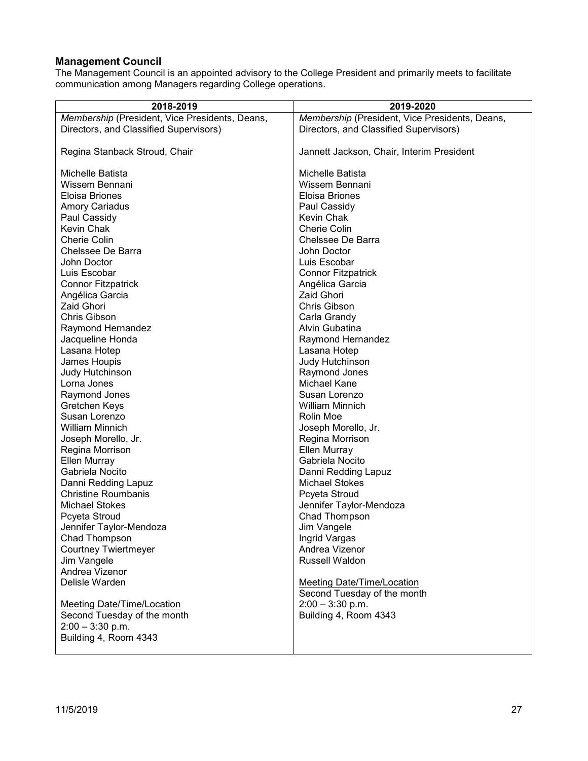### <span id="page-26-0"></span>**Management Council**

The Management Council is an appointed advisory to the College President and primarily meets to facilitate communication among Managers regarding College operations.

| 2018-2019                                      | 2019-2020                                      |
|------------------------------------------------|------------------------------------------------|
| Membership (President, Vice Presidents, Deans, | Membership (President, Vice Presidents, Deans, |
| Directors, and Classified Supervisors)         | Directors, and Classified Supervisors)         |
|                                                |                                                |
| Regina Stanback Stroud, Chair                  | Jannett Jackson, Chair, Interim President      |
|                                                |                                                |
| Michelle Batista                               | Michelle Batista                               |
| Wissem Bennani                                 | Wissem Bennani                                 |
| Eloisa Briones                                 | Eloisa Briones                                 |
| <b>Amory Cariadus</b>                          | Paul Cassidy                                   |
| Paul Cassidy                                   | Kevin Chak                                     |
| Kevin Chak                                     | <b>Cherie Colin</b>                            |
| <b>Cherie Colin</b>                            | Chelssee De Barra                              |
| Chelssee De Barra                              | John Doctor                                    |
| John Doctor                                    | Luis Escobar                                   |
| Luis Escobar                                   | <b>Connor Fitzpatrick</b>                      |
| <b>Connor Fitzpatrick</b>                      | Angélica Garcia                                |
| Angélica Garcia                                | <b>Zaid Ghori</b>                              |
| <b>Zaid Ghori</b>                              | Chris Gibson                                   |
| Chris Gibson                                   | Carla Grandy                                   |
| Raymond Hernandez                              | Alvin Gubatina                                 |
| Jacqueline Honda                               | Raymond Hernandez                              |
| Lasana Hotep                                   | Lasana Hotep                                   |
| James Houpis                                   | Judy Hutchinson                                |
| Judy Hutchinson                                | Raymond Jones                                  |
| Lorna Jones                                    | Michael Kane                                   |
| Raymond Jones                                  | Susan Lorenzo                                  |
| Gretchen Keys                                  | <b>William Minnich</b>                         |
| Susan Lorenzo                                  | Rolin Moe                                      |
| William Minnich                                | Joseph Morello, Jr.                            |
| Joseph Morello, Jr.                            | Regina Morrison                                |
| Regina Morrison                                | Ellen Murray<br>Gabriela Nocito                |
| Ellen Murray<br>Gabriela Nocito                |                                                |
| Danni Redding Lapuz                            | Danni Redding Lapuz<br><b>Michael Stokes</b>   |
| <b>Christine Roumbanis</b>                     | Pcyeta Stroud                                  |
| <b>Michael Stokes</b>                          | Jennifer Taylor-Mendoza                        |
| Pcyeta Stroud                                  | Chad Thompson                                  |
| Jennifer Taylor-Mendoza                        | Jim Vangele                                    |
| Chad Thompson                                  | Ingrid Vargas                                  |
| <b>Courtney Twiertmeyer</b>                    | Andrea Vizenor                                 |
| Jim Vangele                                    | Russell Waldon                                 |
| Andrea Vizenor                                 |                                                |
| Delisle Warden                                 | <b>Meeting Date/Time/Location</b>              |
|                                                | Second Tuesday of the month                    |
| <b>Meeting Date/Time/Location</b>              | $2:00 - 3:30$ p.m.                             |
| Second Tuesday of the month                    | Building 4, Room 4343                          |
| $2:00 - 3:30$ p.m.                             |                                                |
| Building 4, Room 4343                          |                                                |
|                                                |                                                |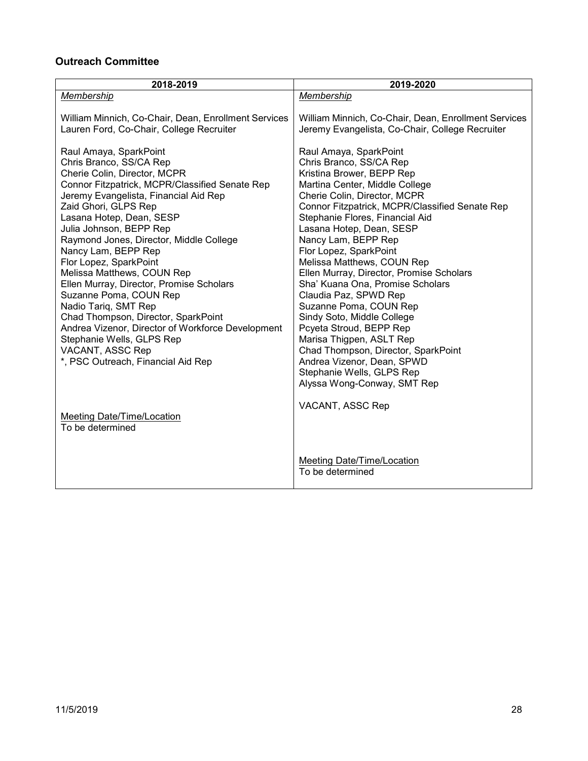## <span id="page-27-0"></span>**Outreach Committee**

| 2018-2019                                                                                        | 2019-2020                                                                                               |
|--------------------------------------------------------------------------------------------------|---------------------------------------------------------------------------------------------------------|
| Membership                                                                                       | Membership                                                                                              |
| William Minnich, Co-Chair, Dean, Enrollment Services<br>Lauren Ford, Co-Chair, College Recruiter | William Minnich, Co-Chair, Dean, Enrollment Services<br>Jeremy Evangelista, Co-Chair, College Recruiter |
| Raul Amaya, SparkPoint                                                                           | Raul Amaya, SparkPoint                                                                                  |
| Chris Branco, SS/CA Rep                                                                          | Chris Branco, SS/CA Rep                                                                                 |
| Cherie Colin, Director, MCPR<br>Connor Fitzpatrick, MCPR/Classified Senate Rep                   | Kristina Brower, BEPP Rep<br>Martina Center, Middle College                                             |
| Jeremy Evangelista, Financial Aid Rep                                                            | Cherie Colin, Director, MCPR                                                                            |
| Zaid Ghori, GLPS Rep                                                                             | Connor Fitzpatrick, MCPR/Classified Senate Rep                                                          |
| Lasana Hotep, Dean, SESP                                                                         | Stephanie Flores, Financial Aid                                                                         |
| Julia Johnson, BEPP Rep                                                                          | Lasana Hotep, Dean, SESP                                                                                |
| Raymond Jones, Director, Middle College                                                          | Nancy Lam, BEPP Rep                                                                                     |
| Nancy Lam, BEPP Rep                                                                              | Flor Lopez, SparkPoint                                                                                  |
| Flor Lopez, SparkPoint                                                                           | Melissa Matthews, COUN Rep                                                                              |
| Melissa Matthews, COUN Rep                                                                       | Ellen Murray, Director, Promise Scholars                                                                |
| Ellen Murray, Director, Promise Scholars                                                         | Sha' Kuana Ona, Promise Scholars                                                                        |
| Suzanne Poma, COUN Rep                                                                           | Claudia Paz, SPWD Rep                                                                                   |
| Nadio Tariq, SMT Rep                                                                             | Suzanne Poma, COUN Rep                                                                                  |
| Chad Thompson, Director, SparkPoint                                                              | Sindy Soto, Middle College                                                                              |
| Andrea Vizenor, Director of Workforce Development<br>Stephanie Wells, GLPS Rep                   | Pcyeta Stroud, BEPP Rep<br>Marisa Thigpen, ASLT Rep                                                     |
| VACANT, ASSC Rep                                                                                 | Chad Thompson, Director, SparkPoint                                                                     |
| *, PSC Outreach, Financial Aid Rep                                                               | Andrea Vizenor, Dean, SPWD                                                                              |
|                                                                                                  | Stephanie Wells, GLPS Rep                                                                               |
|                                                                                                  | Alyssa Wong-Conway, SMT Rep                                                                             |
|                                                                                                  | VACANT, ASSC Rep                                                                                        |
| Meeting Date/Time/Location                                                                       |                                                                                                         |
| To be determined                                                                                 |                                                                                                         |
|                                                                                                  |                                                                                                         |
|                                                                                                  | <b>Meeting Date/Time/Location</b>                                                                       |
|                                                                                                  | To be determined                                                                                        |
|                                                                                                  |                                                                                                         |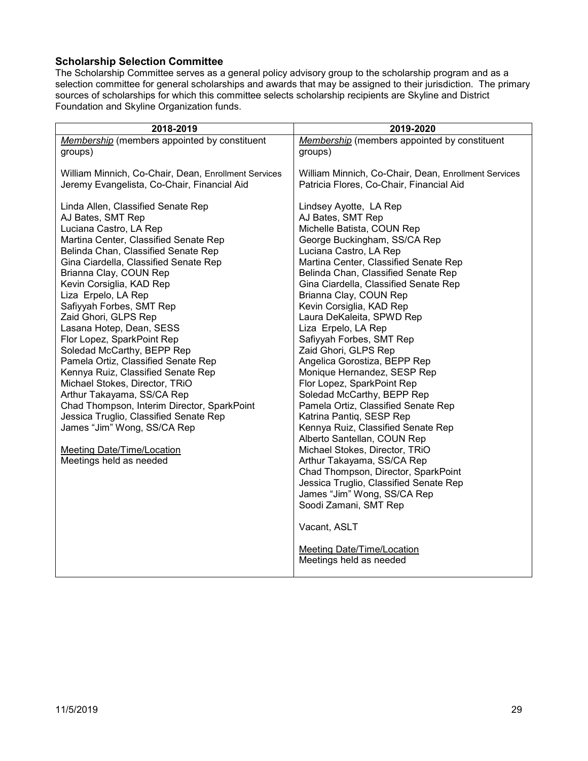### <span id="page-28-0"></span>**Scholarship Selection Committee**

The Scholarship Committee serves as a general policy advisory group to the scholarship program and as a selection committee for general scholarships and awards that may be assigned to their jurisdiction. The primary sources of scholarships for which this committee selects scholarship recipients are Skyline and District Foundation and Skyline Organization funds.

| 2018-2019                                                                                                                                                                                                                                                                                                                                                                                                                                                                                                                                                                                                                                                                                                                                                                | 2019-2020                                                                                                                                                                                                                                                                                                                                                                                                                                                                                                                                                                                                                                                                                                                                                                                                                                                                                                                                                                       |
|--------------------------------------------------------------------------------------------------------------------------------------------------------------------------------------------------------------------------------------------------------------------------------------------------------------------------------------------------------------------------------------------------------------------------------------------------------------------------------------------------------------------------------------------------------------------------------------------------------------------------------------------------------------------------------------------------------------------------------------------------------------------------|---------------------------------------------------------------------------------------------------------------------------------------------------------------------------------------------------------------------------------------------------------------------------------------------------------------------------------------------------------------------------------------------------------------------------------------------------------------------------------------------------------------------------------------------------------------------------------------------------------------------------------------------------------------------------------------------------------------------------------------------------------------------------------------------------------------------------------------------------------------------------------------------------------------------------------------------------------------------------------|
| Membership (members appointed by constituent                                                                                                                                                                                                                                                                                                                                                                                                                                                                                                                                                                                                                                                                                                                             | Membership (members appointed by constituent                                                                                                                                                                                                                                                                                                                                                                                                                                                                                                                                                                                                                                                                                                                                                                                                                                                                                                                                    |
| groups)                                                                                                                                                                                                                                                                                                                                                                                                                                                                                                                                                                                                                                                                                                                                                                  | groups)                                                                                                                                                                                                                                                                                                                                                                                                                                                                                                                                                                                                                                                                                                                                                                                                                                                                                                                                                                         |
| William Minnich, Co-Chair, Dean, Enrollment Services                                                                                                                                                                                                                                                                                                                                                                                                                                                                                                                                                                                                                                                                                                                     | William Minnich, Co-Chair, Dean, Enrollment Services                                                                                                                                                                                                                                                                                                                                                                                                                                                                                                                                                                                                                                                                                                                                                                                                                                                                                                                            |
| Jeremy Evangelista, Co-Chair, Financial Aid                                                                                                                                                                                                                                                                                                                                                                                                                                                                                                                                                                                                                                                                                                                              | Patricia Flores, Co-Chair, Financial Aid                                                                                                                                                                                                                                                                                                                                                                                                                                                                                                                                                                                                                                                                                                                                                                                                                                                                                                                                        |
| Linda Allen, Classified Senate Rep<br>AJ Bates, SMT Rep<br>Luciana Castro, LA Rep<br>Martina Center, Classified Senate Rep<br>Belinda Chan, Classified Senate Rep<br>Gina Ciardella, Classified Senate Rep<br>Brianna Clay, COUN Rep<br>Kevin Corsiglia, KAD Rep<br>Liza Erpelo, LA Rep<br>Safiyyah Forbes, SMT Rep<br>Zaid Ghori, GLPS Rep<br>Lasana Hotep, Dean, SESS<br>Flor Lopez, SparkPoint Rep<br>Soledad McCarthy, BEPP Rep<br>Pamela Ortiz, Classified Senate Rep<br>Kennya Ruiz, Classified Senate Rep<br>Michael Stokes, Director, TRiO<br>Arthur Takayama, SS/CA Rep<br>Chad Thompson, Interim Director, SparkPoint<br>Jessica Truglio, Classified Senate Rep<br>James "Jim" Wong, SS/CA Rep<br><b>Meeting Date/Time/Location</b><br>Meetings held as needed | Lindsey Ayotte, LA Rep<br>AJ Bates, SMT Rep<br>Michelle Batista, COUN Rep<br>George Buckingham, SS/CA Rep<br>Luciana Castro, LA Rep<br>Martina Center, Classified Senate Rep<br>Belinda Chan, Classified Senate Rep<br>Gina Ciardella, Classified Senate Rep<br>Brianna Clay, COUN Rep<br>Kevin Corsiglia, KAD Rep<br>Laura DeKaleita, SPWD Rep<br>Liza Erpelo, LA Rep<br>Safiyyah Forbes, SMT Rep<br>Zaid Ghori, GLPS Rep<br>Angelica Gorostiza, BEPP Rep<br>Monique Hernandez, SESP Rep<br>Flor Lopez, SparkPoint Rep<br>Soledad McCarthy, BEPP Rep<br>Pamela Ortiz, Classified Senate Rep<br>Katrina Pantiq, SESP Rep<br>Kennya Ruiz, Classified Senate Rep<br>Alberto Santellan, COUN Rep<br>Michael Stokes, Director, TRiO<br>Arthur Takayama, SS/CA Rep<br>Chad Thompson, Director, SparkPoint<br>Jessica Truglio, Classified Senate Rep<br>James "Jim" Wong, SS/CA Rep<br>Soodi Zamani, SMT Rep<br>Vacant, ASLT<br>Meeting Date/Time/Location<br>Meetings held as needed |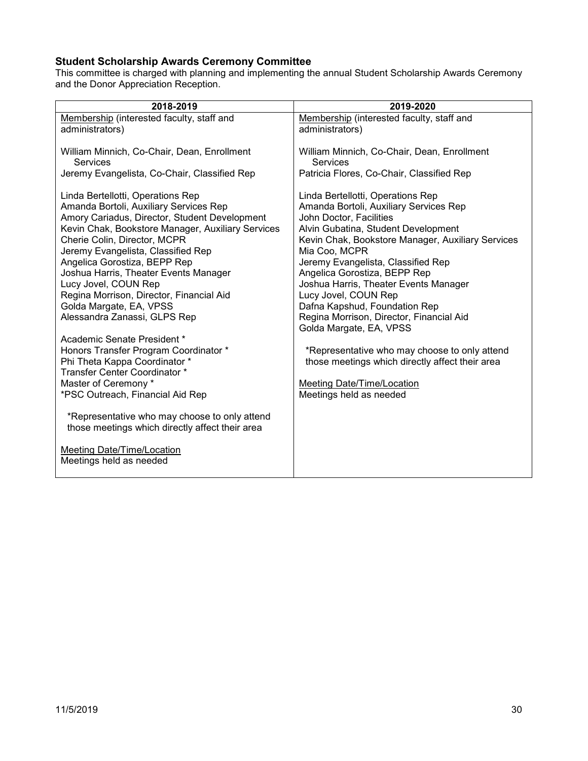# <span id="page-29-0"></span>**Student Scholarship Awards Ceremony Committee**

This committee is charged with planning and implementing the annual Student Scholarship Awards Ceremony and the Donor Appreciation Reception.

| 2018-2019                                                                                                                                                                                                                                                                                                                                                                                                                                                       | 2019-2020                                                                                                                                                                                                                                                                                                                                                                                                                                                          |
|-----------------------------------------------------------------------------------------------------------------------------------------------------------------------------------------------------------------------------------------------------------------------------------------------------------------------------------------------------------------------------------------------------------------------------------------------------------------|--------------------------------------------------------------------------------------------------------------------------------------------------------------------------------------------------------------------------------------------------------------------------------------------------------------------------------------------------------------------------------------------------------------------------------------------------------------------|
| Membership (interested faculty, staff and<br>administrators)                                                                                                                                                                                                                                                                                                                                                                                                    | Membership (interested faculty, staff and<br>administrators)                                                                                                                                                                                                                                                                                                                                                                                                       |
| William Minnich, Co-Chair, Dean, Enrollment<br>Services                                                                                                                                                                                                                                                                                                                                                                                                         | William Minnich, Co-Chair, Dean, Enrollment<br>Services                                                                                                                                                                                                                                                                                                                                                                                                            |
| Jeremy Evangelista, Co-Chair, Classified Rep                                                                                                                                                                                                                                                                                                                                                                                                                    | Patricia Flores, Co-Chair, Classified Rep                                                                                                                                                                                                                                                                                                                                                                                                                          |
| Linda Bertellotti, Operations Rep<br>Amanda Bortoli, Auxiliary Services Rep<br>Amory Cariadus, Director, Student Development<br>Kevin Chak, Bookstore Manager, Auxiliary Services<br>Cherie Colin, Director, MCPR<br>Jeremy Evangelista, Classified Rep<br>Angelica Gorostiza, BEPP Rep<br>Joshua Harris, Theater Events Manager<br>Lucy Jovel, COUN Rep<br>Regina Morrison, Director, Financial Aid<br>Golda Margate, EA, VPSS<br>Alessandra Zanassi, GLPS Rep | Linda Bertellotti, Operations Rep<br>Amanda Bortoli, Auxiliary Services Rep<br>John Doctor, Facilities<br>Alvin Gubatina, Student Development<br>Kevin Chak, Bookstore Manager, Auxiliary Services<br>Mia Coo, MCPR<br>Jeremy Evangelista, Classified Rep<br>Angelica Gorostiza, BEPP Rep<br>Joshua Harris, Theater Events Manager<br>Lucy Jovel, COUN Rep<br>Dafna Kapshud, Foundation Rep<br>Regina Morrison, Director, Financial Aid<br>Golda Margate, EA, VPSS |
| Academic Senate President *<br>Honors Transfer Program Coordinator *<br>Phi Theta Kappa Coordinator *<br>Transfer Center Coordinator *                                                                                                                                                                                                                                                                                                                          | *Representative who may choose to only attend<br>those meetings which directly affect their area                                                                                                                                                                                                                                                                                                                                                                   |
| Master of Ceremony *<br>*PSC Outreach, Financial Aid Rep                                                                                                                                                                                                                                                                                                                                                                                                        | <b>Meeting Date/Time/Location</b><br>Meetings held as needed                                                                                                                                                                                                                                                                                                                                                                                                       |
| *Representative who may choose to only attend<br>those meetings which directly affect their area                                                                                                                                                                                                                                                                                                                                                                |                                                                                                                                                                                                                                                                                                                                                                                                                                                                    |
| <b>Meeting Date/Time/Location</b><br>Meetings held as needed                                                                                                                                                                                                                                                                                                                                                                                                    |                                                                                                                                                                                                                                                                                                                                                                                                                                                                    |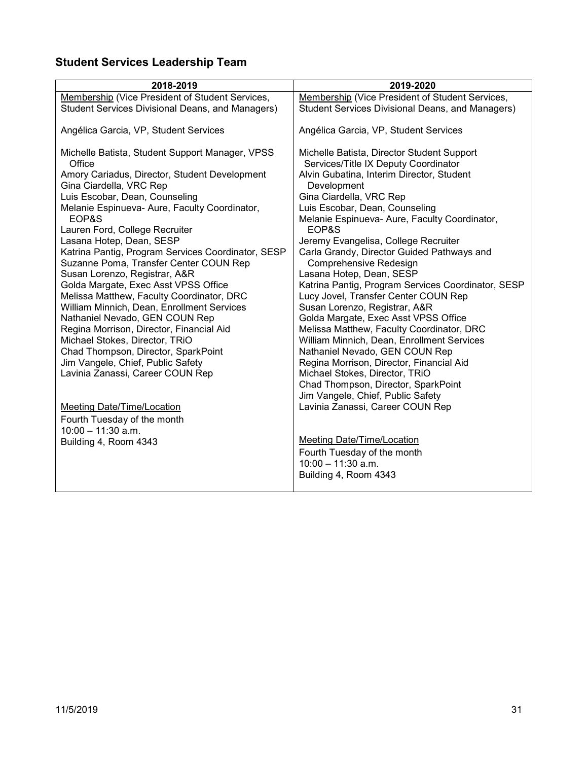# <span id="page-30-0"></span>**Student Services Leadership Team**

| 2018-2019                                                                                                                                                                                                                | 2019-2020                                                                                                                                                                                                   |
|--------------------------------------------------------------------------------------------------------------------------------------------------------------------------------------------------------------------------|-------------------------------------------------------------------------------------------------------------------------------------------------------------------------------------------------------------|
| Membership (Vice President of Student Services,                                                                                                                                                                          | Membership (Vice President of Student Services,                                                                                                                                                             |
| Student Services Divisional Deans, and Managers)                                                                                                                                                                         | Student Services Divisional Deans, and Managers)                                                                                                                                                            |
| Angélica Garcia, VP, Student Services                                                                                                                                                                                    | Angélica Garcia, VP, Student Services                                                                                                                                                                       |
| Michelle Batista, Student Support Manager, VPSS<br>Office<br>Amory Cariadus, Director, Student Development<br>Gina Ciardella, VRC Rep<br>Luis Escobar, Dean, Counseling<br>Melanie Espinueva- Aure, Faculty Coordinator, | Michelle Batista, Director Student Support<br>Services/Title IX Deputy Coordinator<br>Alvin Gubatina, Interim Director, Student<br>Development<br>Gina Ciardella, VRC Rep<br>Luis Escobar, Dean, Counseling |
| EOP&S                                                                                                                                                                                                                    | Melanie Espinueva- Aure, Faculty Coordinator,                                                                                                                                                               |
| Lauren Ford, College Recruiter                                                                                                                                                                                           | EOP&S                                                                                                                                                                                                       |
| Lasana Hotep, Dean, SESP<br>Katrina Pantig, Program Services Coordinator, SESP<br>Suzanne Poma, Transfer Center COUN Rep<br>Susan Lorenzo, Registrar, A&R<br>Golda Margate, Exec Asst VPSS Office                        | Jeremy Evangelisa, College Recruiter<br>Carla Grandy, Director Guided Pathways and<br>Comprehensive Redesign<br>Lasana Hotep, Dean, SESP<br>Katrina Pantig, Program Services Coordinator, SESP              |
| Melissa Matthew, Faculty Coordinator, DRC<br>William Minnich, Dean, Enrollment Services                                                                                                                                  | Lucy Jovel, Transfer Center COUN Rep<br>Susan Lorenzo, Registrar, A&R                                                                                                                                       |
| Nathaniel Nevado, GEN COUN Rep                                                                                                                                                                                           | Golda Margate, Exec Asst VPSS Office                                                                                                                                                                        |
| Regina Morrison, Director, Financial Aid                                                                                                                                                                                 | Melissa Matthew, Faculty Coordinator, DRC                                                                                                                                                                   |
| Michael Stokes, Director, TRiO                                                                                                                                                                                           | William Minnich, Dean, Enrollment Services                                                                                                                                                                  |
| Chad Thompson, Director, SparkPoint<br>Jim Vangele, Chief, Public Safety                                                                                                                                                 | Nathaniel Nevado, GEN COUN Rep<br>Regina Morrison, Director, Financial Aid                                                                                                                                  |
| Lavinia Zanassi, Career COUN Rep                                                                                                                                                                                         | Michael Stokes, Director, TRiO                                                                                                                                                                              |
|                                                                                                                                                                                                                          | Chad Thompson, Director, SparkPoint<br>Jim Vangele, Chief, Public Safety                                                                                                                                    |
| <b>Meeting Date/Time/Location</b>                                                                                                                                                                                        | Lavinia Zanassi, Career COUN Rep                                                                                                                                                                            |
| Fourth Tuesday of the month                                                                                                                                                                                              |                                                                                                                                                                                                             |
| $10:00 - 11:30$ a.m.<br>Building 4, Room 4343                                                                                                                                                                            | <b>Meeting Date/Time/Location</b>                                                                                                                                                                           |
|                                                                                                                                                                                                                          | Fourth Tuesday of the month                                                                                                                                                                                 |
|                                                                                                                                                                                                                          | $10:00 - 11:30$ a.m.                                                                                                                                                                                        |
|                                                                                                                                                                                                                          | Building 4, Room 4343                                                                                                                                                                                       |